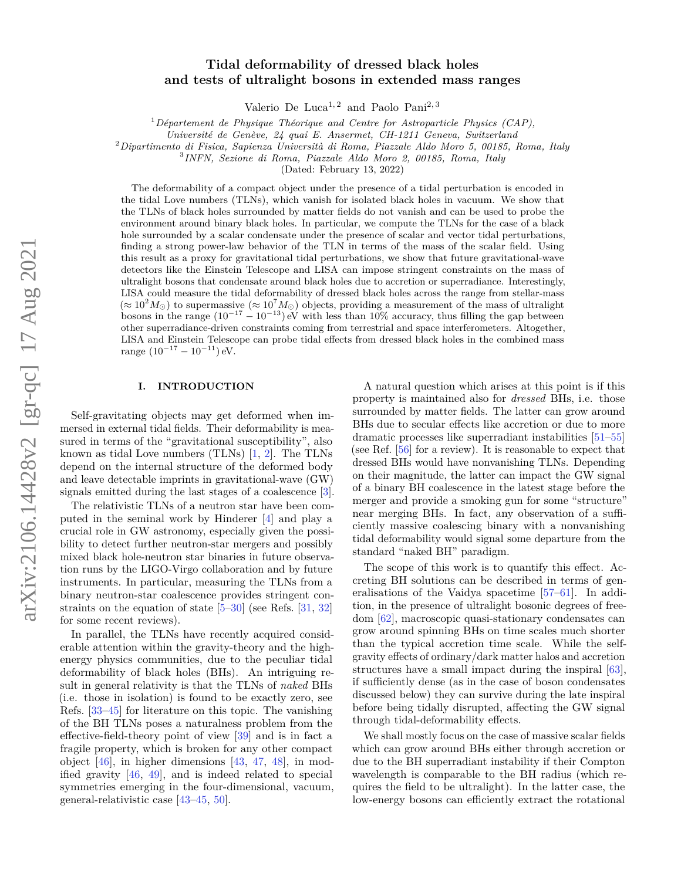# arXiv:2106.14428v2 [gr-qc] 17 Aug 2021 arXiv:2106.14428v2 [gr-qc] 17 Aug 2021

# **Tidal deformability of dressed black holes and tests of ultralight bosons in extended mass ranges**

Valerio De Luca<sup>1, 2</sup> and Paolo Pani<sup>2, 3</sup>

<sup>1</sup>*Département de Physique Théorique and Centre for Astroparticle Physics (CAP),*

*Université de Genève, 24 quai E. Ansermet, CH-1211 Geneva, Switzerland*

<sup>2</sup>*Dipartimento di Fisica, Sapienza Università di Roma, Piazzale Aldo Moro 5, 00185, Roma, Italy*

3 *INFN, Sezione di Roma, Piazzale Aldo Moro 2, 00185, Roma, Italy*

(Dated: February 13, 2022)

The deformability of a compact object under the presence of a tidal perturbation is encoded in the tidal Love numbers (TLNs), which vanish for isolated black holes in vacuum. We show that the TLNs of black holes surrounded by matter fields do not vanish and can be used to probe the environment around binary black holes. In particular, we compute the TLNs for the case of a black hole surrounded by a scalar condensate under the presence of scalar and vector tidal perturbations. finding a strong power-law behavior of the TLN in terms of the mass of the scalar field. Using this result as a proxy for gravitational tidal perturbations, we show that future gravitational-wave detectors like the Einstein Telescope and LISA can impose stringent constraints on the mass of ultralight bosons that condensate around black holes due to accretion or superradiance. Interestingly, LISA could measure the tidal deformability of dressed black holes across the range from stellar-mass  $(\approx 10^2 M_{\odot})$  to supermassive  $(\approx 10^7 M_{\odot})$  objects, providing a measurement of the mass of ultralight bosons in the range  $(10^{-17} - 10^{-13})$  eV with less than 10% accuracy, thus filling the gap between other superradiance-driven constraints coming from terrestrial and space interferometers. Altogether, LISA and Einstein Telescope can probe tidal effects from dressed black holes in the combined mass range  $(10^{-17} - 10^{-11})$  eV.

## **I. INTRODUCTION**

Self-gravitating objects may get deformed when immersed in external tidal fields. Their deformability is measured in terms of the "gravitational susceptibility", also known as tidal Love numbers (TLNs) [\[1,](#page-14-0) [2\]](#page-14-1). The TLNs depend on the internal structure of the deformed body and leave detectable imprints in gravitational-wave (GW) signals emitted during the last stages of a coalescence [\[3\]](#page-14-2).

The relativistic TLNs of a neutron star have been computed in the seminal work by Hinderer [\[4\]](#page-14-3) and play a crucial role in GW astronomy, especially given the possibility to detect further neutron-star mergers and possibly mixed black hole-neutron star binaries in future observation runs by the LIGO-Virgo collaboration and by future instruments. In particular, measuring the TLNs from a binary neutron-star coalescence provides stringent constraints on the equation of state [\[5–](#page-14-4)[30\]](#page-14-5) (see Refs. [\[31,](#page-14-6) [32\]](#page-14-7) for some recent reviews).

In parallel, the TLNs have recently acquired considerable attention within the gravity-theory and the highenergy physics communities, due to the peculiar tidal deformability of black holes (BHs). An intriguing result in general relativity is that the TLNs of *naked* BHs (i.e. those in isolation) is found to be exactly zero, see Refs. [\[33](#page-14-8)[–45\]](#page-15-0) for literature on this topic. The vanishing of the BH TLNs poses a naturalness problem from the effective-field-theory point of view [\[39\]](#page-14-9) and is in fact a fragile property, which is broken for any other compact object [\[46\]](#page-15-1), in higher dimensions [\[43,](#page-14-10) [47,](#page-15-2) [48\]](#page-15-3), in modified gravity [\[46,](#page-15-1) [49\]](#page-15-4), and is indeed related to special symmetries emerging in the four-dimensional, vacuum, general-relativistic case [\[43](#page-14-10)[–45,](#page-15-0) [50\]](#page-15-5).

A natural question which arises at this point is if this property is maintained also for *dressed* BHs, i.e. those surrounded by matter fields. The latter can grow around BHs due to secular effects like accretion or due to more dramatic processes like superradiant instabilities [\[51](#page-15-6)[–55\]](#page-15-7) (see Ref. [\[56\]](#page-15-8) for a review). It is reasonable to expect that dressed BHs would have nonvanishing TLNs. Depending on their magnitude, the latter can impact the GW signal of a binary BH coalescence in the latest stage before the merger and provide a smoking gun for some "structure" near merging BHs. In fact, any observation of a sufficiently massive coalescing binary with a nonvanishing tidal deformability would signal some departure from the standard "naked BH" paradigm.

The scope of this work is to quantify this effect. Accreting BH solutions can be described in terms of generalisations of the Vaidya spacetime [\[57–](#page-15-9)[61\]](#page-15-10). In addition, in the presence of ultralight bosonic degrees of freedom [\[62\]](#page-15-11), macroscopic quasi-stationary condensates can grow around spinning BHs on time scales much shorter than the typical accretion time scale. While the selfgravity effects of ordinary/dark matter halos and accretion structures have a small impact during the inspiral [\[63\]](#page-15-12), if sufficiently dense (as in the case of boson condensates discussed below) they can survive during the late inspiral before being tidally disrupted, affecting the GW signal through tidal-deformability effects.

We shall mostly focus on the case of massive scalar fields which can grow around BHs either through accretion or due to the BH superradiant instability if their Compton wavelength is comparable to the BH radius (which requires the field to be ultralight). In the latter case, the low-energy bosons can efficiently extract the rotational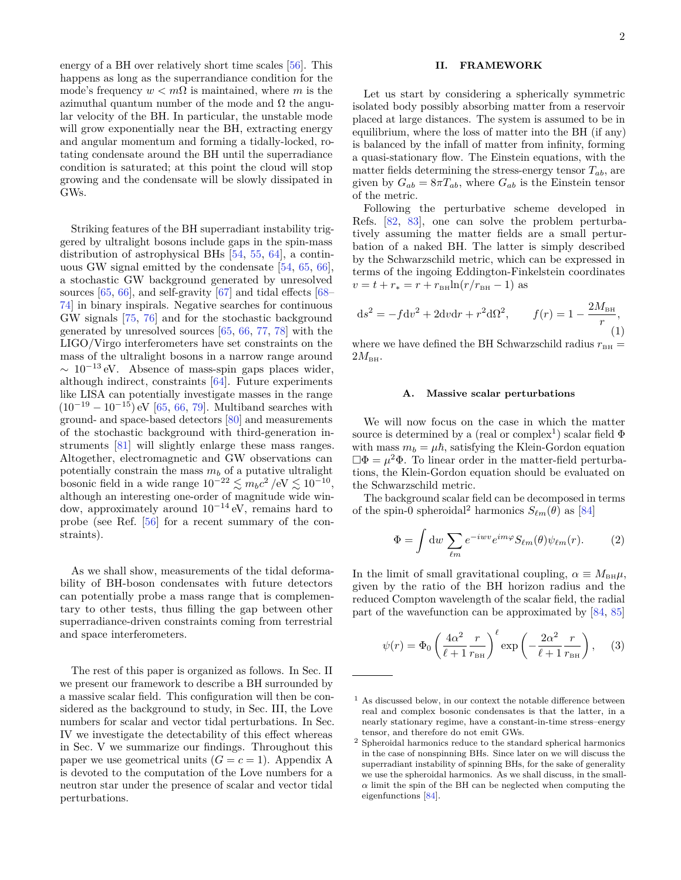energy of a BH over relatively short time scales [\[56\]](#page-15-8). This happens as long as the superrandiance condition for the mode's frequency  $w < m\Omega$  is maintained, where *m* is the azimuthal quantum number of the mode and  $\Omega$  the angular velocity of the BH. In particular, the unstable mode will grow exponentially near the BH, extracting energy and angular momentum and forming a tidally-locked, rotating condensate around the BH until the superradiance condition is saturated; at this point the cloud will stop growing and the condensate will be slowly dissipated in GWs.

Striking features of the BH superradiant instability triggered by ultralight bosons include gaps in the spin-mass distribution of astrophysical BHs [\[54,](#page-15-13) [55,](#page-15-7) [64\]](#page-15-14), a continuous GW signal emitted by the condensate [\[54,](#page-15-13) [65,](#page-15-15) [66\]](#page-15-16), a stochastic GW background generated by unresolved sources [\[65,](#page-15-15) [66\]](#page-15-16), and self-gravity [\[67\]](#page-15-17) and tidal effects [\[68–](#page-15-18) [74\]](#page-15-19) in binary inspirals. Negative searches for continuous GW signals [\[75,](#page-15-20) [76\]](#page-15-21) and for the stochastic background generated by unresolved sources [\[65,](#page-15-15) [66,](#page-15-16) [77,](#page-15-22) [78\]](#page-15-23) with the LIGO/Virgo interferometers have set constraints on the mass of the ultralight bosons in a narrow range around  $\sim 10^{-13}$  eV. Absence of mass-spin gaps places wider, although indirect, constraints [\[64\]](#page-15-14). Future experiments like LISA can potentially investigate masses in the range  $(10^{-19} - 10^{-15})$  eV [\[65,](#page-15-15) [66,](#page-15-16) [79\]](#page-15-24). Multiband searches with ground- and space-based detectors [\[80\]](#page-15-25) and measurements of the stochastic background with third-generation instruments [\[81\]](#page-15-26) will slightly enlarge these mass ranges. Altogether, electromagnetic and GW observations can potentially constrain the mass  $m_b$  of a putative ultralight bosonic field in a wide range  $10^{-22} \lesssim m_b c^2 / \text{eV} \lesssim 10^{-10}$ , although an interesting one-order of magnitude wide window, approximately around 10<sup>−</sup><sup>14</sup> eV, remains hard to probe (see Ref. [\[56\]](#page-15-8) for a recent summary of the constraints).

As we shall show, measurements of the tidal deformability of BH-boson condensates with future detectors can potentially probe a mass range that is complementary to other tests, thus filling the gap between other superradiance-driven constraints coming from terrestrial and space interferometers.

The rest of this paper is organized as follows. In Sec. II we present our framework to describe a BH surrounded by a massive scalar field. This configuration will then be considered as the background to study, in Sec. III, the Love numbers for scalar and vector tidal perturbations. In Sec. IV we investigate the detectability of this effect whereas in Sec. V we summarize our findings. Throughout this paper we use geometrical units  $(G = c = 1)$ . Appendix A is devoted to the computation of the Love numbers for a neutron star under the presence of scalar and vector tidal perturbations.

# **II. FRAMEWORK**

Let us start by considering a spherically symmetric isolated body possibly absorbing matter from a reservoir placed at large distances. The system is assumed to be in equilibrium, where the loss of matter into the BH (if any) is balanced by the infall of matter from infinity, forming a quasi-stationary flow. The Einstein equations, with the matter fields determining the stress-energy tensor *Tab*, are given by  $G_{ab} = 8\pi T_{ab}$ , where  $G_{ab}$  is the Einstein tensor of the metric.

Following the perturbative scheme developed in Refs. [\[82,](#page-15-27) [83\]](#page-15-28), one can solve the problem perturbatively assuming the matter fields are a small perturbation of a naked BH. The latter is simply described by the Schwarzschild metric, which can be expressed in terms of the ingoing Eddington-Finkelstein coordinates  $v = t + r_* = r + r_{\text{BH}}\ln(r/r_{\text{BH}} - 1)$  as

$$
ds^{2} = -f dv^{2} + 2dv dr + r^{2} d\Omega^{2}, \t f(r) = 1 - \frac{2M_{BH}}{r},
$$
  
(1)

where we have defined the BH Schwarzschild radius  $r_{BH}$  =  $2M_{\text{BH}}$ .

#### **A. Massive scalar perturbations**

We will now focus on the case in which the matter source is determined by a (real or complex<sup>[1](#page-1-0)</sup>) scalar field  $\Phi$ with mass  $m_b = \mu \hbar$ , satisfying the Klein-Gordon equation  $\Box \Phi = \mu^2 \Phi$ . To linear order in the matter-field perturbations, the Klein-Gordon equation should be evaluated on the Schwarzschild metric.

The background scalar field can be decomposed in terms of the spin-0 spheroidal<sup>[2](#page-1-1)</sup> harmonics  $S_{\ell m}(\theta)$  as [\[84\]](#page-15-29)

$$
\Phi = \int \mathrm{d}w \, \sum_{\ell m} e^{-i w v} e^{im\varphi} S_{\ell m}(\theta) \psi_{\ell m}(r). \tag{2}
$$

In the limit of small gravitational coupling,  $\alpha \equiv M_{\text{BH}}\mu$ , given by the ratio of the BH horizon radius and the reduced Compton wavelength of the scalar field, the radial part of the wavefunction can be approximated by [\[84,](#page-15-29) [85\]](#page-15-30)

$$
\psi(r) = \Phi_0 \left(\frac{4\alpha^2}{\ell+1} \frac{r}{r_{\text{BH}}}\right)^{\ell} \exp\left(-\frac{2\alpha^2}{\ell+1} \frac{r}{r_{\text{BH}}}\right), \quad (3)
$$

<span id="page-1-0"></span> $^{\rm 1}$  As discussed below, in our context the notable difference between real and complex bosonic condensates is that the latter, in a nearly stationary regime, have a constant-in-time stress–energy tensor, and therefore do not emit GWs.

<span id="page-1-1"></span><sup>2</sup> Spheroidal harmonics reduce to the standard spherical harmonics in the case of nonspinning BHs. Since later on we will discuss the superradiant instability of spinning BHs, for the sake of generality we use the spheroidal harmonics. As we shall discuss, in the small- $\alpha$  limit the spin of the BH can be neglected when computing the eigenfunctions [\[84\]](#page-15-29).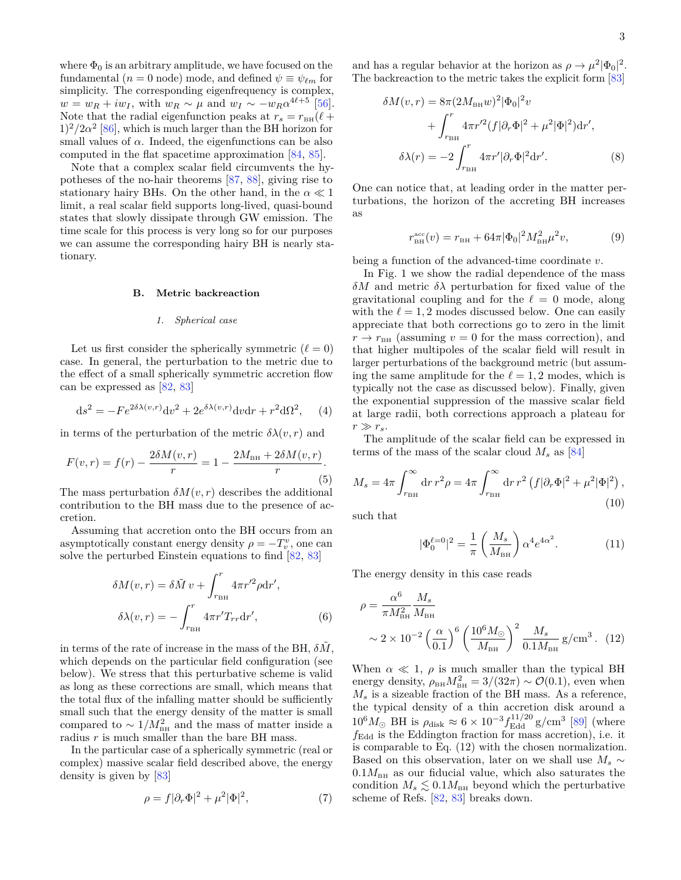where  $\Phi_0$  is an arbitrary amplitude, we have focused on the fundamental ( $n = 0$  node) mode, and defined  $\psi \equiv \psi_{\ell m}$  for simplicity. The corresponding eigenfrequency is complex,  $w = w_R + iw_I$ , with  $w_R \sim \mu$  and  $w_I \sim -w_R \alpha^{4\ell+5}$  [\[56\]](#page-15-8). Note that the radial eigenfunction peaks at  $r_s = r_{\text{BH}}(\ell +$  $1)^2/2\alpha^2$  [\[86\]](#page-15-31), which is much larger than the BH horizon for small values of  $\alpha$ . Indeed, the eigenfunctions can be also computed in the flat spacetime approximation [\[84,](#page-15-29) [85\]](#page-15-30).

Note that a complex scalar field circumvents the hypotheses of the no-hair theorems [\[87,](#page-15-32) [88\]](#page-15-33), giving rise to stationary hairy BHs. On the other hand, in the  $\alpha \ll 1$ limit, a real scalar field supports long-lived, quasi-bound states that slowly dissipate through GW emission. The time scale for this process is very long so for our purposes we can assume the corresponding hairy BH is nearly stationary.

### **B. Metric backreaction**

#### *1. Spherical case*

Let us first consider the spherically symmetric  $(\ell = 0)$ case. In general, the perturbation to the metric due to the effect of a small spherically symmetric accretion flow can be expressed as [\[82,](#page-15-27) [83\]](#page-15-28)

$$
ds^{2} = -Fe^{2\delta\lambda(v,r)}dv^{2} + 2e^{\delta\lambda(v,r)}dv dr + r^{2}d\Omega^{2}, \quad (4)
$$

in terms of the perturbation of the metric  $\delta \lambda(v, r)$  and

$$
F(v,r) = f(r) - \frac{2\delta M(v,r)}{r} = 1 - \frac{2M_{\text{BH}} + 2\delta M(v,r)}{r}.
$$
\n(5)

The mass perturbation  $\delta M(v, r)$  describes the additional contribution to the BH mass due to the presence of accretion.

Assuming that accretion onto the BH occurs from an asymptotically constant energy density  $\rho = -T_v^v$ , one can solve the perturbed Einstein equations to find [\[82,](#page-15-27) [83\]](#page-15-28)

$$
\delta M(v,r) = \delta \tilde{M} v + \int_{r_{\rm BH}}^{r} 4\pi r'^2 \rho dr',
$$
  

$$
\delta \lambda(v,r) = -\int_{r_{\rm BH}}^{r} 4\pi r' T_{rr} dr',
$$
 (6)

in terms of the rate of increase in the mass of the BH,  $\delta M$ , which depends on the particular field configuration (see below). We stress that this perturbative scheme is valid as long as these corrections are small, which means that the total flux of the infalling matter should be sufficiently small such that the energy density of the matter is small compared to  $\sim 1/M_{\text{BH}}^2$  and the mass of matter inside a radius *r* is much smaller than the bare BH mass.

In the particular case of a spherically symmetric (real or complex) massive scalar field described above, the energy density is given by [\[83\]](#page-15-28)

$$
\rho = f|\partial_r \Phi|^2 + \mu^2 |\Phi|^2,\tag{7}
$$

and has a regular behavior at the horizon as  $\rho \to \mu^2 |\Phi_0|^2$ . The backreaction to the metric takes the explicit form [\[83\]](#page-15-28)

$$
\delta M(v,r) = 8\pi (2M_{\text{BH}}w)^{2} |\Phi_{0}|^{2}v
$$
  
+ 
$$
\int_{r_{\text{BH}}}^{r} 4\pi r'^{2} (f |\partial_{r} \Phi|^{2} + \mu^{2} |\Phi|^{2}) dr',
$$
  

$$
\delta \lambda(r) = -2 \int_{r_{\text{BH}}}^{r} 4\pi r' |\partial_{r} \Phi|^{2} dr'.
$$
 (8)

One can notice that, at leading order in the matter perturbations, the horizon of the accreting BH increases as

<span id="page-2-1"></span>
$$
r_{\text{BH}}^{\text{acc}}(v) = r_{\text{BH}} + 64\pi |\Phi_0|^2 M_{\text{BH}}^2 \mu^2 v,\tag{9}
$$

being a function of the advanced-time coordinate *v*.

In Fig. [1](#page-4-0) we show the radial dependence of the mass *δM* and metric *δλ* perturbation for fixed value of the gravitational coupling and for the  $\ell = 0$  mode, along with the  $\ell = 1, 2$  modes discussed below. One can easily appreciate that both corrections go to zero in the limit  $r \rightarrow r_{\text{BH}}$  (assuming  $v = 0$  for the mass correction), and that higher multipoles of the scalar field will result in larger perturbations of the background metric (but assuming the same amplitude for the  $\ell = 1, 2$  modes, which is typically not the case as discussed below). Finally, given the exponential suppression of the massive scalar field at large radii, both corrections approach a plateau for  $r \gg r_s$ .

The amplitude of the scalar field can be expressed in terms of the mass of the scalar cloud  $M_s$  as [\[84\]](#page-15-29)

$$
M_s = 4\pi \int_{r_{\rm BH}}^{\infty} dr r^2 \rho = 4\pi \int_{r_{\rm BH}}^{\infty} dr r^2 \left( f |\partial_r \Phi|^2 + \mu^2 |\Phi|^2 \right),\tag{10}
$$

such that

<span id="page-2-2"></span><span id="page-2-0"></span>
$$
|\Phi_0^{\ell=0}|^2 = \frac{1}{\pi} \left(\frac{M_s}{M_{\text{BH}}}\right) \alpha^4 e^{4\alpha^2}.
$$
 (11)

The energy density in this case reads

$$
\rho = \frac{\alpha^6}{\pi M_{\text{BH}}^2} \frac{M_s}{M_{\text{BH}}}
$$
  
 
$$
\sim 2 \times 10^{-2} \left(\frac{\alpha}{0.1}\right)^6 \left(\frac{10^6 M_{\odot}}{M_{\text{BH}}}\right)^2 \frac{M_s}{0.1 M_{\text{BH}}} g / \text{cm}^3. (12)
$$

When  $\alpha \ll 1$ ,  $\rho$  is much smaller than the typical BH energy density,  $\rho_{\text{BH}} M_{\text{BH}}^2 = 3/(32\pi) \sim \mathcal{O}(0.1)$ , even when  $M_s$  is a sizeable fraction of the BH mass. As a reference, the typical density of a thin accretion disk around a  $10^6 M_{\odot}$  BH is  $\rho_{\text{disk}} \approx 6 \times 10^{-3} f_{\text{Edd}}^{11/20}$  g/cm<sup>3</sup> [\[89\]](#page-15-34) (where  $f_{\text{Edd}}$  is the Eddington fraction for mass accretion), i.e. it is comparable to Eq. [\(12\)](#page-2-0) with the chosen normalization. Based on this observation, later on we shall use  $M_s \sim$  $0.1M_{BH}$  as our fiducial value, which also saturates the condition  $M_s \lesssim 0.1 M_{\text{BH}}$  beyond which the perturbative scheme of Refs. [\[82,](#page-15-27) [83\]](#page-15-28) breaks down.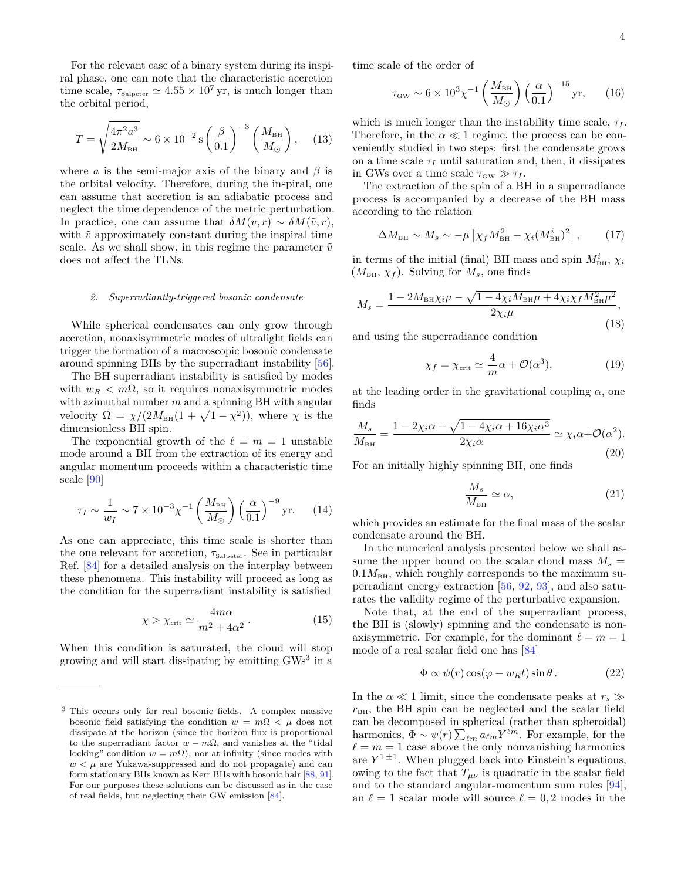For the relevant case of a binary system during its inspiral phase, one can note that the characteristic accretion time scale,  $\tau_{\text{Salpeter}} \simeq 4.55 \times 10^7 \text{ yr}$ , is much longer than the orbital period,

$$
T = \sqrt{\frac{4\pi^2 a^3}{2M_{\text{BH}}}} \sim 6 \times 10^{-2} \,\text{s} \left(\frac{\beta}{0.1}\right)^{-3} \left(\frac{M_{\text{BH}}}{M_{\odot}}\right),\tag{13}
$$

where *a* is the semi-major axis of the binary and  $\beta$  is the orbital velocity. Therefore, during the inspiral, one can assume that accretion is an adiabatic process and neglect the time dependence of the metric perturbation. In practice, one can assume that  $\delta M(v,r) \sim \delta M(\tilde{v},r)$ , with  $\tilde{v}$  approximately constant during the inspiral time scale. As we shall show, in this regime the parameter  $\tilde{v}$ does not affect the TLNs.

#### *2. Superradiantly-triggered bosonic condensate*

While spherical condensates can only grow through accretion, nonaxisymmetric modes of ultralight fields can trigger the formation of a macroscopic bosonic condensate around spinning BHs by the superradiant instability [\[56\]](#page-15-8).

The BH superradiant instability is satisfied by modes with  $w_R < m\Omega$ , so it requires nonaxisymmetric modes with azimuthal number *m* and a spinning BH with angular velocity  $\Omega = \chi/(2M_{\text{BH}}(1 + \sqrt{1 - \chi^2}))$ , where  $\chi$  is the dimensionless BH spin.

The exponential growth of the  $\ell = m = 1$  unstable mode around a BH from the extraction of its energy and angular momentum proceeds within a characteristic time scale [\[90\]](#page-15-35)

$$
\tau_I \sim \frac{1}{w_I} \sim 7 \times 10^{-3} \chi^{-1} \left(\frac{M_{\text{BH}}}{M_{\odot}}\right) \left(\frac{\alpha}{0.1}\right)^{-9} \text{yr.}
$$
 (14)

As one can appreciate, this time scale is shorter than the one relevant for accretion,  $\tau_{\text{Salpeter}}$ . See in particular Ref. [\[84\]](#page-15-29) for a detailed analysis on the interplay between these phenomena. This instability will proceed as long as the condition for the superradiant instability is satisfied

$$
\chi > \chi_{\rm crit} \simeq \frac{4m\alpha}{m^2 + 4\alpha^2} \,. \tag{15}
$$

When this condition is saturated, the cloud will stop growing and will start dissipating by emitting GWs<sup>[3](#page-3-0)</sup> in a time scale of the order of

$$
\tau_{\scriptscriptstyle \rm GW} \sim 6 \times 10^3 \chi^{-1} \left( \frac{M_{\scriptscriptstyle \rm BH}}{M_{\odot}} \right) \left( \frac{\alpha}{0.1} \right)^{-15} \text{yr}, \qquad (16)
$$

which is much longer than the instability time scale,  $\tau_I$ . Therefore, in the  $\alpha \ll 1$  regime, the process can be conveniently studied in two steps: first the condensate grows on a time scale  $\tau_I$  until saturation and, then, it dissipates in GWs over a time scale  $\tau_{\rm GW} \gg \tau_I$ .

The extraction of the spin of a BH in a superradiance process is accompanied by a decrease of the BH mass according to the relation

$$
\Delta M_{\text{BH}} \sim M_s \sim -\mu \left[ \chi_f M_{\text{BH}}^2 - \chi_i (M_{\text{BH}}^i)^2 \right],\tag{17}
$$

in terms of the initial (final) BH mass and spin  $M_{\text{BH}}^i$ ,  $\chi_i$  $(M_{BH}, \chi_f)$ . Solving for  $M_s$ , one finds

$$
M_{s} = \frac{1 - 2M_{\text{BH}}\chi_{i}\mu - \sqrt{1 - 4\chi_{i}M_{\text{BH}}\mu + 4\chi_{i}\chi_{f}M_{\text{BH}}^{2}\mu^{2}}}{2\chi_{i}\mu},
$$
\n(18)

and using the superradiance condition

<span id="page-3-1"></span>
$$
\chi_f = \chi_{\rm crit} \simeq \frac{4}{m}\alpha + \mathcal{O}(\alpha^3),\tag{19}
$$

at the leading order in the gravitational coupling  $\alpha$ , one finds

$$
\frac{M_s}{M_{\text{BH}}} = \frac{1 - 2\chi_i \alpha - \sqrt{1 - 4\chi_i \alpha + 16\chi_i \alpha^3}}{2\chi_i \alpha} \simeq \chi_i \alpha + \mathcal{O}(\alpha^2).
$$
\n(20)

For an initially highly spinning BH, one finds

$$
\frac{M_s}{M_{\text{BH}}} \simeq \alpha,\tag{21}
$$

which provides an estimate for the final mass of the scalar condensate around the BH.

In the numerical analysis presented below we shall assume the upper bound on the scalar cloud mass  $M_s =$  $0.1M_{BH}$ , which roughly corresponds to the maximum superradiant energy extraction [\[56,](#page-15-8) [92,](#page-15-37) [93\]](#page-15-38), and also saturates the validity regime of the perturbative expansion.

Note that, at the end of the superradiant process, the BH is (slowly) spinning and the condensate is nonaxisymmetric. For example, for the dominant  $\ell = m = 1$ mode of a real scalar field one has [\[84\]](#page-15-29)

$$
\Phi \propto \psi(r) \cos(\varphi - w_R t) \sin \theta. \tag{22}
$$

In the  $\alpha \ll 1$  limit, since the condensate peaks at  $r_s \gg$  $r<sub>BH</sub>$ , the BH spin can be neglected and the scalar field can be decomposed in spherical (rather than spheroidal) harmonics,  $\Phi \sim \psi(r) \sum_{\ell m} a_{\ell m} Y^{\ell m}$ . For example, for the  $\ell = m = 1$  case above the only nonvanishing harmonics are  $Y^{1 \pm 1}$ . When plugged back into Einstein's equations, owing to the fact that  $T_{\mu\nu}$  is quadratic in the scalar field and to the standard angular-momentum sum rules [\[94\]](#page-15-39), an  $\ell = 1$  scalar mode will source  $\ell = 0, 2$  modes in the

<span id="page-3-0"></span><sup>3</sup> This occurs only for real bosonic fields. A complex massive bosonic field satisfying the condition  $w = m\Omega < \mu$  does not dissipate at the horizon (since the horizon flux is proportional to the superradiant factor  $w - m\Omega$ , and vanishes at the "tidal" locking" condition  $w = m\Omega$ ), nor at infinity (since modes with  $w < \mu$  are Yukawa-suppressed and do not propagate) and can form stationary BHs known as Kerr BHs with bosonic hair [\[88,](#page-15-33) [91\]](#page-15-36). For our purposes these solutions can be discussed as in the case of real fields, but neglecting their GW emission [\[84\]](#page-15-29).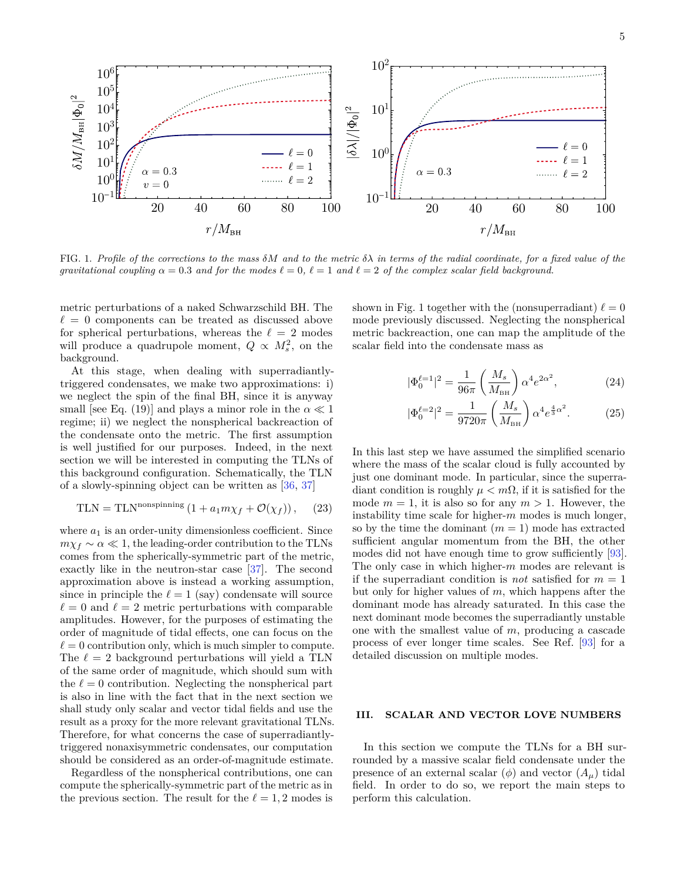<span id="page-4-0"></span>

FIG. 1. Profile of the corrections to the mass  $\delta M$  and to the metric  $\delta \lambda$  in terms of the radial coordinate, for a fixed value of the *gravitational coupling*  $\alpha = 0.3$  *and for the modes*  $\ell = 0$ ,  $\ell = 1$  *and*  $\ell = 2$  *of the complex scalar field background.* 

metric perturbations of a naked Schwarzschild BH. The  $\ell = 0$  components can be treated as discussed above for spherical perturbations, whereas the  $\ell = 2$  modes will produce a quadrupole moment,  $Q \propto M_s^2$ , on the background.

At this stage, when dealing with superradiantlytriggered condensates, we make two approximations: i) we neglect the spin of the final BH, since it is anyway small [see Eq. [\(19\)](#page-3-1)] and plays a minor role in the  $\alpha \ll 1$ regime; ii) we neglect the nonspherical backreaction of the condensate onto the metric. The first assumption is well justified for our purposes. Indeed, in the next section we will be interested in computing the TLNs of this background configuration. Schematically, the TLN of a slowly-spinning object can be written as [\[36,](#page-14-11) [37\]](#page-14-12)

TLN = TLN<sup>nonspinning</sup> 
$$
(1 + a_1 m \chi_f + \mathcal{O}(\chi_f)),
$$
 (23)

where  $a_1$  is an order-unity dimensionless coefficient. Since  $m\chi_f \sim \alpha \ll 1$ , the leading-order contribution to the TLNs comes from the spherically-symmetric part of the metric, exactly like in the neutron-star case [\[37\]](#page-14-12). The second approximation above is instead a working assumption, since in principle the  $\ell = 1$  (say) condensate will source  $\ell = 0$  and  $\ell = 2$  metric perturbations with comparable amplitudes. However, for the purposes of estimating the order of magnitude of tidal effects, one can focus on the  $\ell = 0$  contribution only, which is much simpler to compute. The  $\ell = 2$  background perturbations will yield a TLN of the same order of magnitude, which should sum with the  $\ell = 0$  contribution. Neglecting the nonspherical part is also in line with the fact that in the next section we shall study only scalar and vector tidal fields and use the result as a proxy for the more relevant gravitational TLNs. Therefore, for what concerns the case of superradiantlytriggered nonaxisymmetric condensates, our computation should be considered as an order-of-magnitude estimate.

Regardless of the nonspherical contributions, one can compute the spherically-symmetric part of the metric as in the previous section. The result for the  $\ell = 1, 2$  modes is shown in Fig. [1](#page-4-0) together with the (nonsuperradiant)  $\ell = 0$ mode previously discussed. Neglecting the nonspherical metric backreaction, one can map the amplitude of the scalar field into the condensate mass as

$$
|\Phi_0^{\ell=1}|^2 = \frac{1}{96\pi} \left(\frac{M_s}{M_{\text{BH}}}\right) \alpha^4 e^{2\alpha^2},\tag{24}
$$

$$
|\Phi_0^{\ell=2}|^2 = \frac{1}{9720\pi} \left(\frac{M_s}{M_{\text{BH}}}\right) \alpha^4 e^{\frac{4}{3}\alpha^2}.
$$
 (25)

In this last step we have assumed the simplified scenario where the mass of the scalar cloud is fully accounted by just one dominant mode. In particular, since the superradiant condition is roughly *µ < m*Ω, if it is satisfied for the mode  $m = 1$ , it is also so for any  $m > 1$ . However, the instability time scale for higher-*m* modes is much longer, so by the time the dominant  $(m = 1)$  mode has extracted sufficient angular momentum from the BH, the other modes did not have enough time to grow sufficiently [\[93\]](#page-15-38). The only case in which higher-*m* modes are relevant is if the superradiant condition is *not* satisfied for  $m = 1$ but only for higher values of *m*, which happens after the dominant mode has already saturated. In this case the next dominant mode becomes the superradiantly unstable one with the smallest value of *m*, producing a cascade process of ever longer time scales. See Ref. [\[93\]](#page-15-38) for a detailed discussion on multiple modes.

# **III. SCALAR AND VECTOR LOVE NUMBERS**

In this section we compute the TLNs for a BH surrounded by a massive scalar field condensate under the presence of an external scalar  $(\phi)$  and vector  $(A<sub>u</sub>)$  tidal field. In order to do so, we report the main steps to perform this calculation.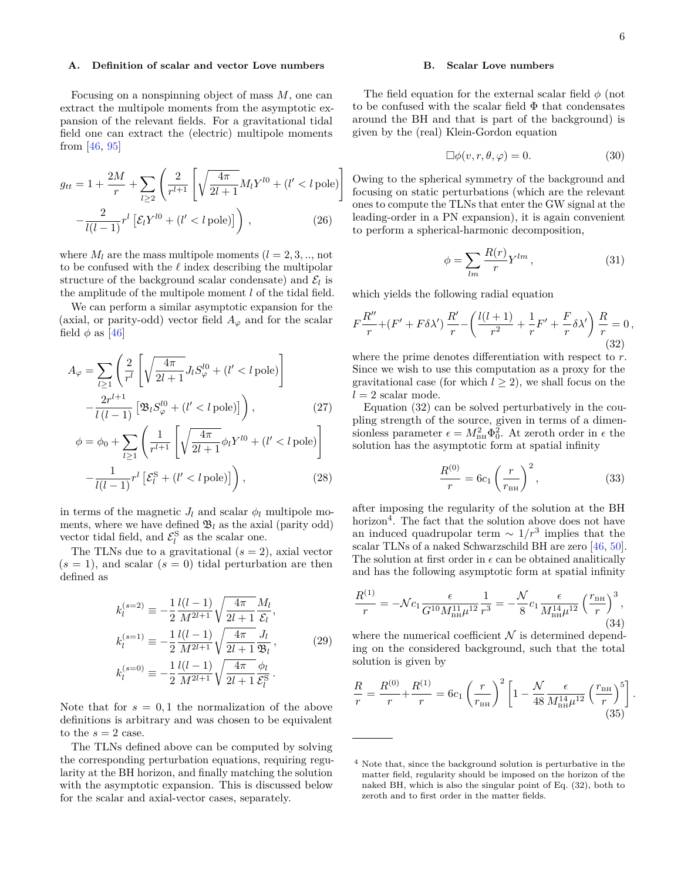### **A. Definition of scalar and vector Love numbers**

Focusing on a nonspinning object of mass *M*, one can extract the multipole moments from the asymptotic expansion of the relevant fields. For a gravitational tidal field one can extract the (electric) multipole moments from [\[46,](#page-15-1) [95\]](#page-15-40)

$$
g_{tt} = 1 + \frac{2M}{r} + \sum_{l \ge 2} \left( \frac{2}{r^{l+1}} \left[ \sqrt{\frac{4\pi}{2l+1}} M_l Y^{l0} + (l' < l \text{ pole}) \right] - \frac{2}{l(l-1)} r^l \left[ \mathcal{E}_l Y^{l0} + (l' < l \text{ pole}) \right] \right), \tag{26}
$$

where  $M_l$  are the mass multipole moments  $(l = 2, 3, \dots, \text{not})$ to be confused with the  $\ell$  index describing the multipolar structure of the background scalar condensate) and  $\mathcal{E}_l$  is the amplitude of the multipole moment *l* of the tidal field.

We can perform a similar asymptotic expansion for the (axial, or parity-odd) vector field  $A_{\varphi}$  and for the scalar field  $\phi$  as [\[46\]](#page-15-1)

$$
A_{\varphi} = \sum_{l \ge 1} \left( \frac{2}{r^l} \left[ \sqrt{\frac{4\pi}{2l+1}} J_l S_{\varphi}^{l0} + (l' < l \text{ pole}) \right] - \frac{2r^{l+1}}{l(l-1)} \left[ \mathfrak{B}_l S_{\varphi}^{l0} + (l' < l \text{ pole}) \right] \right),\tag{27}
$$

$$
\phi = \phi_0 + \sum_{l \ge 1} \left( \frac{1}{r^{l+1}} \left[ \sqrt{\frac{4\pi}{2l+1}} \phi_l Y^{l0} + (l' < l \text{ pole}) \right] \right)
$$

$$
-\frac{1}{l(l-1)}r^{l}\left[\mathcal{E}_{l}^{S}+(l'
$$

in terms of the magnetic  $J_l$  and scalar  $\phi_l$  multipole moments, where we have defined  $\mathfrak{B}_l$  as the axial (parity odd) vector tidal field, and  $\mathcal{E}_l^{\rm S}$  as the scalar one.

The TLNs due to a gravitational  $(s = 2)$ , axial vector  $(s = 1)$ , and scalar  $(s = 0)$  tidal perturbation are then defined as

$$
k_l^{(s=2)} \equiv -\frac{1}{2} \frac{l(l-1)}{M^{2l+1}} \sqrt{\frac{4\pi}{2l+1}} \frac{M_l}{\mathcal{E}_l},
$$
  
\n
$$
k_l^{(s=1)} \equiv -\frac{1}{2} \frac{l(l-1)}{M^{2l+1}} \sqrt{\frac{4\pi}{2l+1}} \frac{J_l}{\mathfrak{B}_l},
$$
  
\n
$$
k_l^{(s=0)} \equiv -\frac{1}{2} \frac{l(l-1)}{M^{2l+1}} \sqrt{\frac{4\pi}{2l+1}} \frac{\phi_l}{\mathcal{E}_l^S}.
$$
\n(29)

Note that for  $s = 0, 1$  the normalization of the above definitions is arbitrary and was chosen to be equivalent to the  $s = 2$  case.

The TLNs defined above can be computed by solving the corresponding perturbation equations, requiring regularity at the BH horizon, and finally matching the solution with the asymptotic expansion. This is discussed below for the scalar and axial-vector cases, separately.

## **B. Scalar Love numbers**

The field equation for the external scalar field  $\phi$  (not to be confused with the scalar field  $\Phi$  that condensates around the BH and that is part of the background) is given by the (real) Klein-Gordon equation

$$
\Box \phi(v, r, \theta, \varphi) = 0. \tag{30}
$$

Owing to the spherical symmetry of the background and focusing on static perturbations (which are the relevant ones to compute the TLNs that enter the GW signal at the leading-order in a PN expansion), it is again convenient to perform a spherical-harmonic decomposition,

$$
\phi = \sum_{lm} \frac{R(r)}{r} Y^{lm} \,, \tag{31}
$$

which yields the following radial equation

<span id="page-5-0"></span>
$$
F\frac{R''}{r} + (F' + F\delta\lambda')\frac{R'}{r} - \left(\frac{l(l+1)}{r^2} + \frac{1}{r}F' + \frac{F}{r}\delta\lambda'\right)\frac{R}{r} = 0,
$$
\n(32)

where the prime denotes differentiation with respect to *r*. Since we wish to use this computation as a proxy for the gravitational case (for which  $l \geq 2$ ), we shall focus on the  $l = 2$  scalar mode.

<span id="page-5-3"></span>Equation [\(32\)](#page-5-0) can be solved perturbatively in the coupling strength of the source, given in terms of a dimensionless parameter  $\epsilon = M_{\text{BH}}^2 \Phi_0^2$ . At zeroth order in  $\epsilon$  the solution has the asymptotic form at spatial infinity

$$
\frac{R^{(0)}}{r} = 6c_1 \left(\frac{r}{r_{\text{BH}}}\right)^2,\tag{33}
$$

<span id="page-5-2"></span>after imposing the regularity of the solution at the BH horizon<sup>[4](#page-5-1)</sup>. The fact that the solution above does not have an induced quadrupolar term  $\sim 1/r^3$  implies that the scalar TLNs of a naked Schwarzschild BH are zero [\[46,](#page-15-1) [50\]](#page-15-5). The solution at first order in  $\epsilon$  can be obtained analitically and has the following asymptotic form at spatial infinity

$$
\frac{R^{(1)}}{r} = -\mathcal{N}c_1 \frac{\epsilon}{G^{10} M_{\text{BH}}^{11} \mu^{12}} \frac{1}{r^3} = -\frac{\mathcal{N}}{8} c_1 \frac{\epsilon}{M_{\text{BH}}^{14} \mu^{12}} \left(\frac{r_{\text{BH}}}{r}\right)^3,
$$
\n(34)

where the numerical coefficient  $\mathcal N$  is determined depending on the considered background, such that the total solution is given by

$$
\frac{R}{r} = \frac{R^{(0)}}{r} + \frac{R^{(1)}}{r} = 6c_1 \left(\frac{r}{r_{\text{BH}}}\right)^2 \left[1 - \frac{\mathcal{N}}{48} \frac{\epsilon}{M_{\text{BH}}^{14} \mu^{12}} \left(\frac{r_{\text{BH}}}{r}\right)^5\right].
$$
\n(35)

<span id="page-5-1"></span><sup>4</sup> Note that, since the background solution is perturbative in the matter field, regularity should be imposed on the horizon of the naked BH, which is also the singular point of Eq. [\(32\)](#page-5-0), both to zeroth and to first order in the matter fields.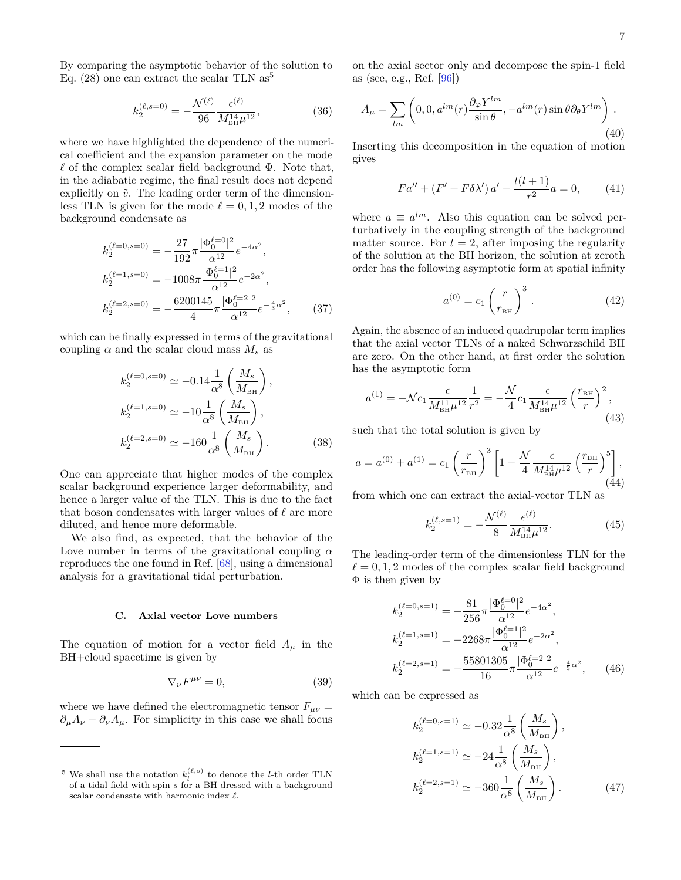By comparing the asymptotic behavior of the solution to Eq.  $(28)$  one can extract the scalar TLN as<sup>[5](#page-6-0)</sup>

$$
k_2^{(\ell, s=0)} = -\frac{\mathcal{N}^{(\ell)}}{96} \frac{\epsilon^{(\ell)}}{M_{\text{BH}}^{14} \mu^{12}},\tag{36}
$$

where we have highlighted the dependence of the numerical coefficient and the expansion parameter on the mode  $\ell$  of the complex scalar field background  $\Phi$ . Note that, in the adiabatic regime, the final result does not depend explicitly on  $\tilde{v}$ . The leading order term of the dimensionless TLN is given for the mode  $\ell = 0, 1, 2$  modes of the background condensate as

$$
k_2^{(\ell=0, s=0)} = -\frac{27}{192} \pi \frac{|\Phi_0^{\ell=0}|^2}{\alpha^{12}} e^{-4\alpha^2},
$$
  
\n
$$
k_2^{(\ell=1, s=0)} = -1008 \pi \frac{|\Phi_0^{\ell=1}|^2}{\alpha^{12}} e^{-2\alpha^2},
$$
  
\n
$$
k_2^{(\ell=2, s=0)} = -\frac{6200145}{4} \pi \frac{|\Phi_0^{\ell=2}|^2}{\alpha^{12}} e^{-\frac{4}{3}\alpha^2},
$$
(37)

which can be finally expressed in terms of the gravitational coupling  $\alpha$  and the scalar cloud mass  $M_s$  as

$$
k_2^{(\ell=0, s=0)} \simeq -0.14 \frac{1}{\alpha^8} \left( \frac{M_s}{M_{\text{BH}}} \right),
$$
  
\n
$$
k_2^{(\ell=1, s=0)} \simeq -10 \frac{1}{\alpha^8} \left( \frac{M_s}{M_{\text{BH}}} \right),
$$
  
\n
$$
k_2^{(\ell=2, s=0)} \simeq -160 \frac{1}{\alpha^8} \left( \frac{M_s}{M_{\text{BH}}} \right).
$$
 (38)

One can appreciate that higher modes of the complex scalar background experience larger deformability, and hence a larger value of the TLN. This is due to the fact that boson condensates with larger values of  $\ell$  are more diluted, and hence more deformable.

We also find, as expected, that the behavior of the Love number in terms of the gravitational coupling *α* reproduces the one found in Ref. [\[68\]](#page-15-18), using a dimensional analysis for a gravitational tidal perturbation.

# **C. Axial vector Love numbers**

The equation of motion for a vector field  $A_\mu$  in the BH+cloud spacetime is given by

$$
\nabla_{\nu}F^{\mu\nu} = 0,\t\t(39)
$$

where we have defined the electromagnetic tensor  $F_{\mu\nu}$  =  $\partial_{\mu}A_{\nu} - \partial_{\nu}A_{\mu}$ . For simplicity in this case we shall focus on the axial sector only and decompose the spin-1 field as (see, e.g., Ref. [\[96\]](#page-15-41))

$$
A_{\mu} = \sum_{lm} \left( 0, 0, a^{lm}(r) \frac{\partial_{\varphi} Y^{lm}}{\sin \theta}, -a^{lm}(r) \sin \theta \partial_{\theta} Y^{lm} \right). \tag{40}
$$

Inserting this decomposition in the equation of motion gives

$$
Fa'' + (F' + F\delta \lambda') a' - \frac{l(l+1)}{r^2} a = 0,
$$
 (41)

where  $a \equiv a^{lm}$ . Also this equation can be solved perturbatively in the coupling strength of the background matter source. For  $l = 2$ , after imposing the regularity of the solution at the BH horizon, the solution at zeroth order has the following asymptotic form at spatial infinity

$$
a^{(0)} = c_1 \left(\frac{r}{r_{\text{BH}}}\right)^3 \,. \tag{42}
$$

Again, the absence of an induced quadrupolar term implies that the axial vector TLNs of a naked Schwarzschild BH are zero. On the other hand, at first order the solution has the asymptotic form

$$
a^{(1)} = -\mathcal{N}c_1 \frac{\epsilon}{M_{\text{BH}}^{11} \mu^{12}} \frac{1}{r^2} = -\frac{\mathcal{N}}{4} c_1 \frac{\epsilon}{M_{\text{BH}}^{14} \mu^{12}} \left(\frac{r_{\text{BH}}}{r}\right)^2, \tag{43}
$$

such that the total solution is given by

$$
a = a^{(0)} + a^{(1)} = c_1 \left(\frac{r}{r_{\text{BH}}}\right)^3 \left[1 - \frac{\mathcal{N}}{4} \frac{\epsilon}{M_{\text{BH}}^{14} \mu^{12}} \left(\frac{r_{\text{BH}}}{r}\right)^5 \right],
$$
\n(44)

from which one can extract the axial-vector TLN as

$$
k_2^{(\ell, s=1)} = -\frac{\mathcal{N}^{(\ell)}}{8} \frac{\epsilon^{(\ell)}}{M_{\text{BH}}^{14} \mu^{12}}.
$$
 (45)

The leading-order term of the dimensionless TLN for the  $\ell = 0, 1, 2$  modes of the complex scalar field background  $\Phi$  is then given by

$$
k_2^{(\ell=0,s=1)} = -\frac{81}{256} \pi \frac{|\Phi_0^{\ell=0}|^2}{\alpha^{12}} e^{-4\alpha^2},
$$
  
\n
$$
k_2^{(\ell=1,s=1)} = -2268\pi \frac{|\Phi_0^{\ell=1}|^2}{\alpha^{12}} e^{-2\alpha^2},
$$
  
\n
$$
k_2^{(\ell=2,s=1)} = -\frac{55801305}{16} \pi \frac{|\Phi_0^{\ell=2}|^2}{\alpha^{12}} e^{-\frac{4}{3}\alpha^2},
$$
 (46)

which can be expressed as

$$
k_2^{(\ell=0, s=1)} \simeq -0.32 \frac{1}{\alpha^8} \left( \frac{M_s}{M_{\text{BH}}} \right),
$$
  
\n
$$
k_2^{(\ell=1, s=1)} \simeq -24 \frac{1}{\alpha^8} \left( \frac{M_s}{M_{\text{BH}}} \right),
$$
  
\n
$$
k_2^{(\ell=2, s=1)} \simeq -360 \frac{1}{\alpha^8} \left( \frac{M_s}{M_{\text{BH}}} \right).
$$
 (47)

<span id="page-6-0"></span><sup>&</sup>lt;sup>5</sup> We shall use the notation  $k_l^{(\ell,s)}$  to denote the *l*-th order TLN of a tidal field with spin *s* for a BH dressed with a background scalar condensate with harmonic index  $\ell$ .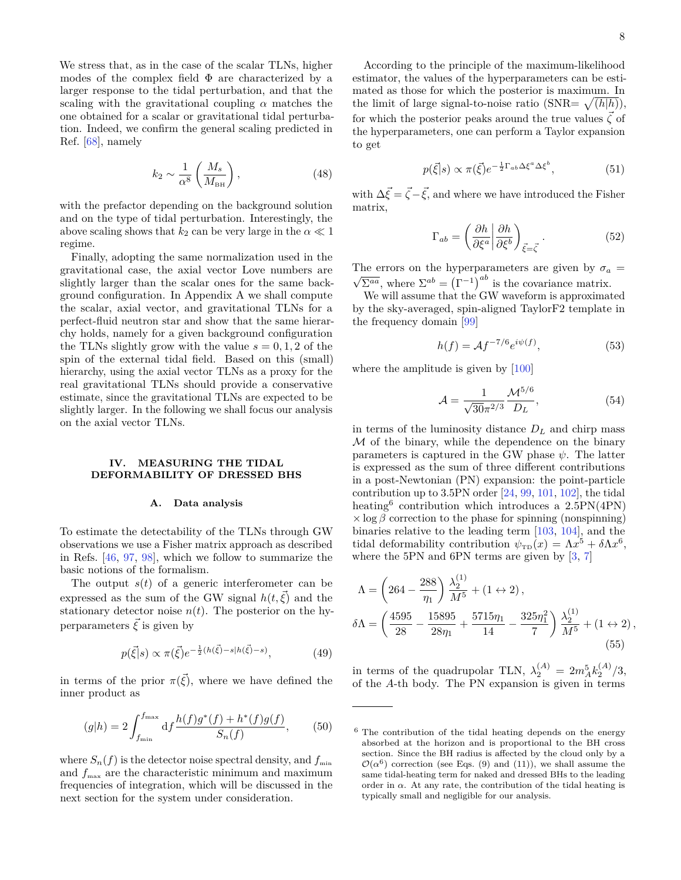We stress that, as in the case of the scalar TLNs, higher modes of the complex field  $\Phi$  are characterized by a larger response to the tidal perturbation, and that the scaling with the gravitational coupling  $\alpha$  matches the one obtained for a scalar or gravitational tidal perturbation. Indeed, we confirm the general scaling predicted in Ref. [\[68\]](#page-15-18), namely

$$
k_2 \sim \frac{1}{\alpha^8} \left( \frac{M_s}{M_{\text{BH}}} \right),\tag{48}
$$

with the prefactor depending on the background solution and on the type of tidal perturbation. Interestingly, the above scaling shows that  $k_2$  can be very large in the  $\alpha \ll 1$ regime.

Finally, adopting the same normalization used in the gravitational case, the axial vector Love numbers are slightly larger than the scalar ones for the same background configuration. In Appendix [A](#page-12-0) we shall compute the scalar, axial vector, and gravitational TLNs for a perfect-fluid neutron star and show that the same hierarchy holds, namely for a given background configuration the TLNs slightly grow with the value  $s = 0, 1, 2$  of the spin of the external tidal field. Based on this (small) hierarchy, using the axial vector TLNs as a proxy for the real gravitational TLNs should provide a conservative estimate, since the gravitational TLNs are expected to be slightly larger. In the following we shall focus our analysis on the axial vector TLNs.

# **IV. MEASURING THE TIDAL DEFORMABILITY OF DRESSED BHS**

#### **A. Data analysis**

To estimate the detectability of the TLNs through GW observations we use a Fisher matrix approach as described in Refs. [\[46,](#page-15-1) [97,](#page-15-42) [98\]](#page-15-43), which we follow to summarize the basic notions of the formalism.

The output  $s(t)$  of a generic interferometer can be expressed as the sum of the GW signal  $h(t, \vec{\xi})$  and the stationary detector noise  $n(t)$ . The posterior on the hyperparameters  $\vec{\xi}$  is given by

$$
p(\vec{\xi}|s) \propto \pi(\vec{\xi})e^{-\frac{1}{2}(h(\vec{\xi})-s|h(\vec{\xi})-s)},\tag{49}
$$

in terms of the prior  $\pi(\vec{\xi})$ , where we have defined the inner product as

$$
(g|h) = 2 \int_{f_{\min}}^{f_{\max}} df \frac{h(f)g^*(f) + h^*(f)g(f)}{S_n(f)},
$$
 (50)

where  $S_n(f)$  is the detector noise spectral density, and  $f_{\min}$ and  $f_{\text{max}}$  are the characteristic minimum and maximum frequencies of integration, which will be discussed in the next section for the system under consideration.

According to the principle of the maximum-likelihood estimator, the values of the hyperparameters can be estimated as those for which the posterior is maximum. In the limit of large signal-to-noise ratio  $(SNR = \sqrt{(h|h)})$ , for which the posterior peaks around the true values  $\vec{\zeta}$  of the hyperparameters, one can perform a Taylor expansion to get

$$
p(\vec{\xi}|s) \propto \pi(\vec{\xi}) e^{-\frac{1}{2}\Gamma_{ab}\Delta\xi^a\Delta\xi^b},\tag{51}
$$

with  $\Delta \vec{\xi} = \vec{\zeta} - \vec{\xi}$ , and where we have introduced the Fisher matrix,

$$
\Gamma_{ab} = \left(\frac{\partial h}{\partial \xi^a} \middle| \frac{\partial h}{\partial \xi^b} \right)_{\vec{\xi} = \vec{\zeta}}.
$$
\n(52)

The errors on the hyperparameters are given by  $\sigma_a$  =  $\overline{\Sigma^{aa}}$ , where  $\Sigma^{ab} = (\Gamma^{-1})^{ab}$  is the covariance matrix.

We will assume that the GW waveform is approximated by the sky-averaged, spin-aligned TaylorF2 template in the frequency domain [\[99\]](#page-15-44)

$$
h(f) = \mathcal{A}f^{-7/6}e^{i\psi(f)},\tag{53}
$$

where the amplitude is given by [\[100\]](#page-15-45)

$$
\mathcal{A} = \frac{1}{\sqrt{30}\pi^{2/3}} \frac{\mathcal{M}^{5/6}}{D_L},
$$
\n(54)

in terms of the luminosity distance  $D_L$  and chirp mass M of the binary, while the dependence on the binary parameters is captured in the GW phase  $\psi$ . The latter is expressed as the sum of three different contributions in a post-Newtonian (PN) expansion: the point-particle contribution up to 3.5PN order  $[24, 99, 101, 102]$  $[24, 99, 101, 102]$  $[24, 99, 101, 102]$  $[24, 99, 101, 102]$  $[24, 99, 101, 102]$  $[24, 99, 101, 102]$  $[24, 99, 101, 102]$ , the tidal heating<sup>[6](#page-7-0)</sup> contribution which introduces a 2.5PN(4PN)  $\times$  log  $\beta$  correction to the phase for spinning (nonspinning) binaries relative to the leading term [\[103,](#page-15-48) [104\]](#page-15-49), and the tidal deformability contribution  $\psi_{\text{TD}}(x) = \Lambda x^5 + \delta \Lambda x^6$ , where the 5PN and 6PN terms are given by [\[3,](#page-14-2) [7\]](#page-14-14)

$$
\Lambda = \left(264 - \frac{288}{\eta_1}\right) \frac{\lambda_2^{(1)}}{M^5} + (1 \leftrightarrow 2),
$$
  

$$
\delta \Lambda = \left(\frac{4595}{28} - \frac{15895}{28\eta_1} + \frac{5715\eta_1}{14} - \frac{325\eta_1^2}{7}\right) \frac{\lambda_2^{(1)}}{M^5} + (1 \leftrightarrow 2),
$$
  
(55)

in terms of the quadrupolar TLN,  $\lambda_2^{(A)} = 2m_A^5 k_2^{(A)}/3$ , of the *A*-th body. The PN expansion is given in terms

<span id="page-7-0"></span><sup>6</sup> The contribution of the tidal heating depends on the energy absorbed at the horizon and is proportional to the BH cross section. Since the BH radius is affected by the cloud only by a  $\mathcal{O}(\alpha^6)$  correction (see Eqs. [\(9\)](#page-2-1) and [\(11\)](#page-2-2)), we shall assume the same tidal-heating term for naked and dressed BHs to the leading order in  $\alpha$ . At any rate, the contribution of the tidal heating is typically small and negligible for our analysis.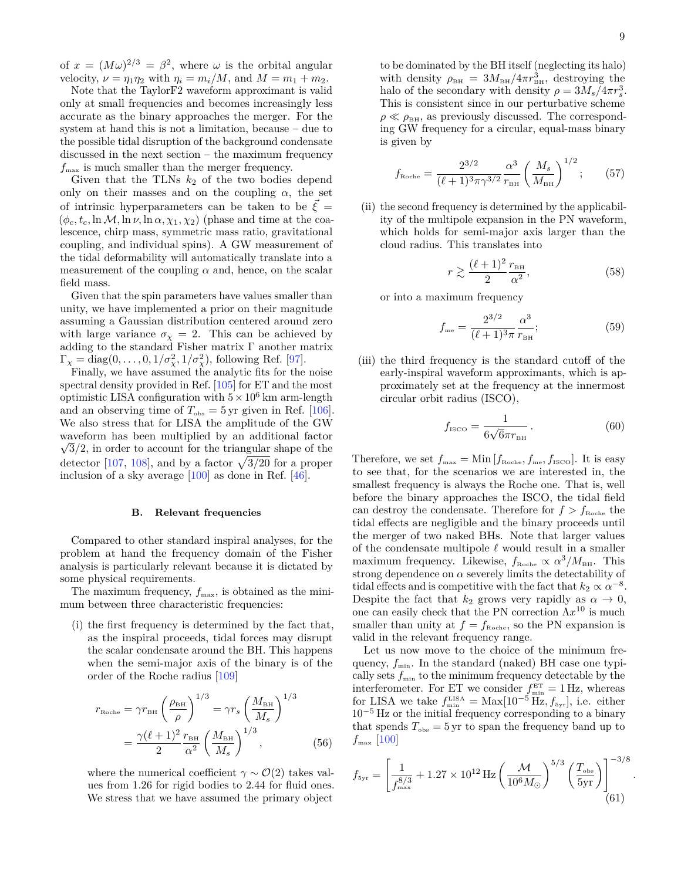of  $x = (M\omega)^{2/3} = \beta^2$ , where  $\omega$  is the orbital angular velocity,  $\nu = \eta_1 \eta_2$  with  $\eta_i = m_i/M$ , and  $M = m_1 + m_2$ .

Note that the TaylorF2 waveform approximant is valid only at small frequencies and becomes increasingly less accurate as the binary approaches the merger. For the system at hand this is not a limitation, because – due to the possible tidal disruption of the background condensate discussed in the next section – the maximum frequency  $f_{\text{max}}$  is much smaller than the merger frequency.

Given that the TLNs  $k_2$  of the two bodies depend only on their masses and on the coupling  $\alpha$ , the set of intrinsic hyperparameters can be taken to be  $\overline{\xi}$  =  $(\phi_c, t_c, \ln \mathcal{M}, \ln \nu, \ln \alpha, \chi_1, \chi_2)$  (phase and time at the coalescence, chirp mass, symmetric mass ratio, gravitational coupling, and individual spins). A GW measurement of the tidal deformability will automatically translate into a measurement of the coupling  $\alpha$  and, hence, on the scalar field mass.

Given that the spin parameters have values smaller than unity, we have implemented a prior on their magnitude assuming a Gaussian distribution centered around zero with large variance  $\sigma_{\chi} = 2$ . This can be achieved by adding to the standard Fisher matrix  $\Gamma$  another matrix  $\Gamma_{\chi} = \text{diag}(0, \ldots, 0, 1/\sigma_{\chi}^2, 1/\sigma_{\chi}^2)$ , following Ref. [\[97\]](#page-15-42).

Finally, we have assumed the analytic fits for the noise spectral density provided in Ref. [\[105\]](#page-16-0) for ET and the most optimistic LISA configuration with  $5 \times 10^6$  km arm-length and an observing time of  $T_{obs} = 5 \text{ yr}$  given in Ref. [\[106\]](#page-16-1). We also stress that for LISA the amplitude of the GW waveform has been multiplied by an additional factor √  $\sqrt{3}/2$ , in order to account for the triangular shape of the detector [\[107,](#page-16-2) [108\]](#page-16-3), and by a factor  $\sqrt{3/20}$  for a proper inclusion of a sky average [\[100\]](#page-15-45) as done in Ref. [\[46\]](#page-15-1).

## **B. Relevant frequencies**

Compared to other standard inspiral analyses, for the problem at hand the frequency domain of the Fisher analysis is particularly relevant because it is dictated by some physical requirements.

The maximum frequency,  $f_{\text{max}}$ , is obtained as the minimum between three characteristic frequencies:

(i) the first frequency is determined by the fact that, as the inspiral proceeds, tidal forces may disrupt the scalar condensate around the BH. This happens when the semi-major axis of the binary is of the order of the Roche radius [\[109\]](#page-16-4)

$$
r_{\text{Roche}} = \gamma r_{\text{BH}} \left(\frac{\rho_{\text{BH}}}{\rho}\right)^{1/3} = \gamma r_s \left(\frac{M_{\text{BH}}}{M_s}\right)^{1/3}
$$

$$
= \frac{\gamma(\ell+1)^2}{2} \frac{r_{\text{BH}}}{\alpha^2} \left(\frac{M_{\text{BH}}}{M_s}\right)^{1/3},\tag{56}
$$

where the numerical coefficient  $\gamma \sim O(2)$  takes values from 1.26 for rigid bodies to 2.44 for fluid ones. We stress that we have assumed the primary object

to be dominated by the BH itself (neglecting its halo) with density  $\rho_{\text{BH}} = 3M_{\text{BH}}/4\pi r_{\text{BH}}^3$ , destroying the halo of the secondary with density  $\rho = 3M_s/4\pi r_s^3$ . This is consistent since in our perturbative scheme  $\rho \ll \rho_{\text{BH}}$ , as previously discussed. The corresponding GW frequency for a circular, equal-mass binary is given by

$$
f_{\text{Roche}} = \frac{2^{3/2}}{(\ell+1)^3 \pi \gamma^{3/2}} \frac{\alpha^3}{r_{\text{BH}}} \left(\frac{M_s}{M_{\text{BH}}}\right)^{1/2};\qquad(57)
$$

(ii) the second frequency is determined by the applicability of the multipole expansion in the PN waveform, which holds for semi-major axis larger than the cloud radius. This translates into

$$
r \gtrsim \frac{(\ell+1)^2}{2} \frac{r_{\text{BH}}}{\alpha^2},\tag{58}
$$

or into a maximum frequency

$$
f_{\text{me}} = \frac{2^{3/2}}{(\ell+1)^3 \pi} \frac{\alpha^3}{r_{\text{BH}}};
$$
\n(59)

(iii) the third frequency is the standard cutoff of the early-inspiral waveform approximants, which is approximately set at the frequency at the innermost circular orbit radius (ISCO),

$$
f_{\rm ISCO} = \frac{1}{6\sqrt{6}\pi r_{\rm BH}}.\tag{60}
$$

Therefore, we set  $f_{\text{max}} = \text{Min}[f_{\text{Roche}}, f_{\text{me}}, f_{\text{ISCO}}]$ . It is easy to see that, for the scenarios we are interested in, the smallest frequency is always the Roche one. That is, well before the binary approaches the ISCO, the tidal field can destroy the condensate. Therefore for  $f > f_{\text{Roche}}$  the tidal effects are negligible and the binary proceeds until the merger of two naked BHs. Note that larger values of the condensate multipole  $\ell$  would result in a smaller maximum frequency. Likewise,  $f_{\text{Roche}} \propto \alpha^3 / M_{\text{BH}}$ . This strong dependence on  $\alpha$  severely limits the detectability of tidal effects and is competitive with the fact that  $k_2 \propto \alpha^{-8}$ . Despite the fact that  $k_2$  grows very rapidly as  $\alpha \to 0$ , one can easily check that the PN correction  $\Lambda x^{10}$  is much smaller than unity at  $f = f_{\text{Roche}}$ , so the PN expansion is valid in the relevant frequency range.

Let us now move to the choice of the minimum frequency,  $f_{\min}$ . In the standard (naked) BH case one typically sets  $f_{\min}$  to the minimum frequency detectable by the interferometer. For ET we consider  $f_{\min}^{\text{ET}} = 1 \text{ Hz}$ , whereas for LISA we take  $f_{\min}^{\text{LISA}} = \text{Max}[10^{-5} \overline{\text{Hz}}, f_{5\text{yr}}]$ , i.e. either  $10^{-5}$  Hz or the initial frequency corresponding to a binary that spends  $T_{\text{obs}} = 5 \text{ yr}$  to span the frequency band up to  $f_{\text{max}}$  [\[100\]](#page-15-45)

$$
f_{\rm 5yr} = \left[ \frac{1}{f_{\rm max}^{8/3}} + 1.27 \times 10^{12} \,\text{Hz} \left( \frac{\mathcal{M}}{10^6 M_{\odot}} \right)^{5/3} \left( \frac{T_{\rm obs}}{\rm 5yr} \right) \right]_{(61)}^{-3/8}
$$

*.*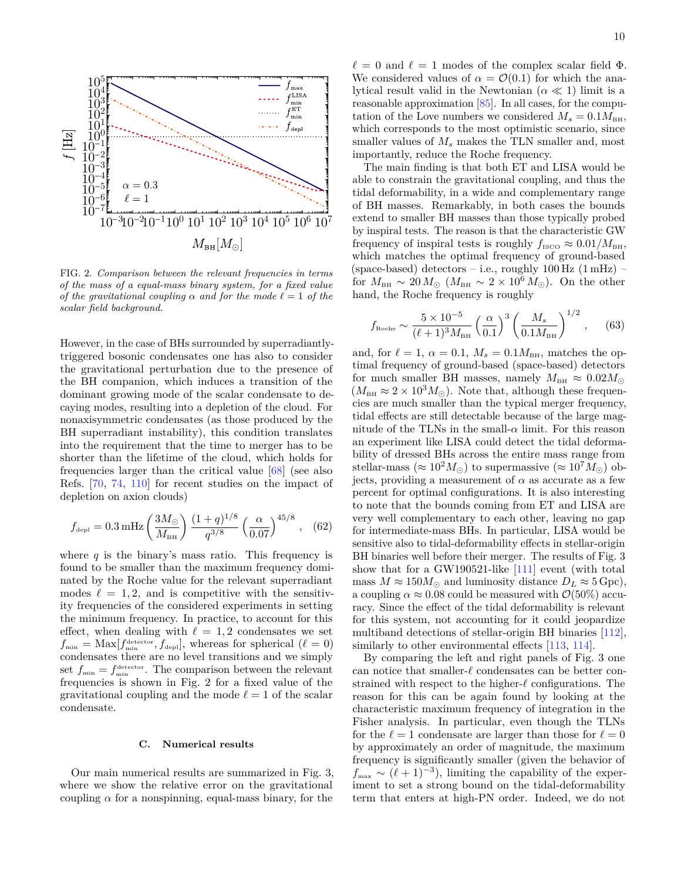<span id="page-9-0"></span>

FIG. 2. *Comparison between the relevant frequencies in terms of the mass of a equal-mass binary system, for a fixed value of the gravitational coupling*  $\alpha$  *and for the mode*  $\ell = 1$  *of the scalar field background.*

However, in the case of BHs surrounded by superradiantlytriggered bosonic condensates one has also to consider the gravitational perturbation due to the presence of the BH companion, which induces a transition of the dominant growing mode of the scalar condensate to decaying modes, resulting into a depletion of the cloud. For nonaxisymmetric condensates (as those produced by the BH superradiant instability), this condition translates into the requirement that the time to merger has to be shorter than the lifetime of the cloud, which holds for frequencies larger than the critical value [\[68\]](#page-15-18) (see also Refs. [\[70,](#page-15-50) [74,](#page-15-19) [110\]](#page-16-5) for recent studies on the impact of depletion on axion clouds)

$$
f_{\rm depl} = 0.3 \,\mathrm{mHz} \left(\frac{3M_{\odot}}{M_{\rm BH}}\right) \frac{(1+q)^{1/8}}{q^{3/8}} \left(\frac{\alpha}{0.07}\right)^{45/8}, \quad (62)
$$

where  $q$  is the binary's mass ratio. This frequency is found to be smaller than the maximum frequency dominated by the Roche value for the relevant superradiant modes  $\ell = 1, 2$ , and is competitive with the sensitivity frequencies of the considered experiments in setting the minimum frequency. In practice, to account for this effect, when dealing with  $\ell = 1, 2$  condensates we set  $f_{\min} = \text{Max}[f_{\min}^{\text{detector}}, f_{\text{depl}}]$ , whereas for spherical  $(\ell = 0)$ condensates there are no level transitions and we simply set  $f_{\min} = f_{\min}^{\text{detector}}$ . The comparison between the relevant frequencies is shown in Fig. [2](#page-9-0) for a fixed value of the gravitational coupling and the mode  $\ell = 1$  of the scalar condensate.

#### **C. Numerical results**

Our main numerical results are summarized in Fig. [3,](#page-10-0) where we show the relative error on the gravitational coupling  $\alpha$  for a nonspinning, equal-mass binary, for the

 $\ell = 0$  and  $\ell = 1$  modes of the complex scalar field  $\Phi$ . We considered values of  $\alpha = \mathcal{O}(0.1)$  for which the analytical result valid in the Newtonian  $(\alpha \ll 1)$  limit is a reasonable approximation [\[85\]](#page-15-30). In all cases, for the computation of the Love numbers we considered  $M_s = 0.1 M_{\text{BH}}$ , which corresponds to the most optimistic scenario, since smaller values of  $M_s$  makes the TLN smaller and, most importantly, reduce the Roche frequency.

The main finding is that both ET and LISA would be able to constrain the gravitational coupling, and thus the tidal deformability, in a wide and complementary range of BH masses. Remarkably, in both cases the bounds extend to smaller BH masses than those typically probed by inspiral tests. The reason is that the characteristic GW frequency of inspiral tests is roughly  $f_{\text{ISCO}} \approx 0.01/M_{\text{BH}}$ , which matches the optimal frequency of ground-based (space-based) detectors – i.e., roughly  $100 \text{ Hz}$  (1 mHz) – for  $M_{\text{BH}} \sim 20 M_{\odot}$  ( $M_{\text{BH}} \sim 2 \times 10^6 M_{\odot}$ ). On the other hand, the Roche frequency is roughly

$$
f_{\text{Roche}} \sim \frac{5 \times 10^{-5}}{(\ell + 1)^3 M_{\text{BH}}} \left(\frac{\alpha}{0.1}\right)^3 \left(\frac{M_s}{0.1 M_{\text{BH}}}\right)^{1/2},
$$
 (63)

and, for  $\ell = 1$ ,  $\alpha = 0.1$ ,  $M_s = 0.1 M_{BH}$ , matches the optimal frequency of ground-based (space-based) detectors for much smaller BH masses, namely  $M_{BH} \approx 0.02 M_{\odot}$  $(M_{\text{BH}} \approx 2 \times 10^3 M_{\odot})$ . Note that, although these frequencies are much smaller than the typical merger frequency, tidal effects are still detectable because of the large magnitude of the TLNs in the small- $\alpha$  limit. For this reason an experiment like LISA could detect the tidal deformability of dressed BHs across the entire mass range from stellar-mass ( $\approx 10^2 M_{\odot}$ ) to supermassive ( $\approx 10^7 M_{\odot}$ ) objects, providing a measurement of  $\alpha$  as accurate as a few percent for optimal configurations. It is also interesting to note that the bounds coming from ET and LISA are very well complementary to each other, leaving no gap for intermediate-mass BHs. In particular, LISA would be sensitive also to tidal-deformability effects in stellar-origin BH binaries well before their merger. The results of Fig. [3](#page-10-0) show that for a GW190521-like [\[111\]](#page-16-6) event (with total mass  $M \approx 150 M_{\odot}$  and luminosity distance  $D_L \approx 5 \,\text{Gpc}$ ), a coupling  $\alpha \approx 0.08$  could be measured with  $\mathcal{O}(50\%)$  accuracy. Since the effect of the tidal deformability is relevant for this system, not accounting for it could jeopardize multiband detections of stellar-origin BH binaries [\[112\]](#page-16-7), similarly to other environmental effects [\[113,](#page-16-8) [114\]](#page-16-9).

By comparing the left and right panels of Fig. [3](#page-10-0) one can notice that smaller- $\ell$  condensates can be better constrained with respect to the higher- $\ell$  configurations. The reason for this can be again found by looking at the characteristic maximum frequency of integration in the Fisher analysis. In particular, even though the TLNs for the  $\ell = 1$  condensate are larger than those for  $\ell = 0$ by approximately an order of magnitude, the maximum frequency is significantly smaller (given the behavior of  $f_{\text{max}} \sim (\ell + 1)^{-3}$ , limiting the capability of the experiment to set a strong bound on the tidal-deformability term that enters at high-PN order. Indeed, we do not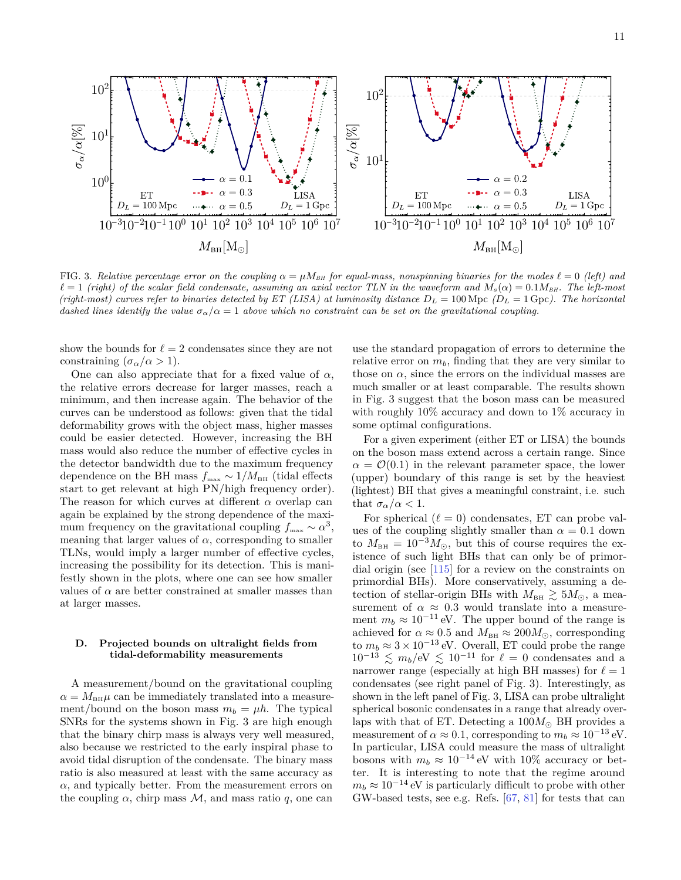<span id="page-10-0"></span>

FIG. 3. *Relative percentage error on the coupling*  $\alpha = \mu M_{BH}$  *for equal-mass, nonspinning binaries for the modes*  $\ell = 0$  *(left)* and  $\ell = 1$  *(right) of the scalar field condensate, assuming an axial vector TLN in the waveform and*  $M_s(\alpha) = 0.1 M_{BH}$ . The left-most *(right-most) curves refer to binaries detected by ET (LISA) at luminosity distance*  $D_L = 100 \text{ Mpc}$  *(D<sub>L</sub>* = 1 Gpc). The horizontal *dashed lines identify the value*  $\sigma_{\alpha}/\alpha = 1$  *above which no constraint can be set on the gravitational coupling.* 

show the bounds for  $\ell = 2$  condensates since they are not constraining  $(\sigma_\alpha/\alpha > 1)$ .

One can also appreciate that for a fixed value of  $\alpha$ , the relative errors decrease for larger masses, reach a minimum, and then increase again. The behavior of the curves can be understood as follows: given that the tidal deformability grows with the object mass, higher masses could be easier detected. However, increasing the BH mass would also reduce the number of effective cycles in the detector bandwidth due to the maximum frequency dependence on the BH mass  $f_{\text{max}} \sim 1/M_{\text{BH}}$  (tidal effects start to get relevant at high PN/high frequency order). The reason for which curves at different *α* overlap can again be explained by the strong dependence of the maximum frequency on the gravitational coupling  $f_{\text{max}} \sim \alpha^3$ , meaning that larger values of  $\alpha$ , corresponding to smaller TLNs, would imply a larger number of effective cycles, increasing the possibility for its detection. This is manifestly shown in the plots, where one can see how smaller values of  $\alpha$  are better constrained at smaller masses than at larger masses.

# **D. Projected bounds on ultralight fields from tidal-deformability measurements**

A measurement/bound on the gravitational coupling  $\alpha = M_{\text{BH}}\mu$  can be immediately translated into a measurement/bound on the boson mass  $m_b = \mu \hbar$ . The typical SNRs for the systems shown in Fig. [3](#page-10-0) are high enough that the binary chirp mass is always very well measured, also because we restricted to the early inspiral phase to avoid tidal disruption of the condensate. The binary mass ratio is also measured at least with the same accuracy as  $\alpha$ , and typically better. From the measurement errors on the coupling  $\alpha$ , chirp mass  $\mathcal{M}$ , and mass ratio q, one can

use the standard propagation of errors to determine the relative error on *mb*, finding that they are very similar to those on  $\alpha$ , since the errors on the individual masses are much smaller or at least comparable. The results shown in Fig. [3](#page-10-0) suggest that the boson mass can be measured with roughly  $10\%$  accuracy and down to  $1\%$  accuracy in some optimal configurations.

For a given experiment (either ET or LISA) the bounds on the boson mass extend across a certain range. Since  $\alpha = \mathcal{O}(0.1)$  in the relevant parameter space, the lower (upper) boundary of this range is set by the heaviest (lightest) BH that gives a meaningful constraint, i.e. such that  $\sigma_{\alpha}/\alpha < 1$ .

For spherical  $(\ell = 0)$  condensates, ET can probe values of the coupling slightly smaller than  $\alpha = 0.1$  down to  $M_{\text{BH}} = 10^{-3} M_{\odot}$ , but this of course requires the existence of such light BHs that can only be of primordial origin (see [\[115\]](#page-16-10) for a review on the constraints on primordial BHs). More conservatively, assuming a detection of stellar-origin BHs with  $M_{\text{BH}} \gtrsim 5 M_{\odot}$ , a measurement of  $\alpha \approx 0.3$  would translate into a measurement  $m_b \approx 10^{-11}$  eV. The upper bound of the range is achieved for  $\alpha \approx 0.5$  and  $M_{\text{BH}} \approx 200 M_{\odot}$ , corresponding to  $m_b \approx 3 \times 10^{-13}$  eV. Overall, ET could probe the range  $10^{-13} \leq m_b/eV \leq 10^{-11}$  for  $\ell = 0$  condensates and a narrower range (especially at high BH masses) for  $\ell = 1$ condensates (see right panel of Fig. [3\)](#page-10-0). Interestingly, as shown in the left panel of Fig. [3,](#page-10-0) LISA can probe ultralight spherical bosonic condensates in a range that already overlaps with that of ET. Detecting a  $100M_{\odot}$  BH provides a measurement of  $\alpha \approx 0.1$ , corresponding to  $m_b \approx 10^{-13}$  eV. In particular, LISA could measure the mass of ultralight bosons with  $m_b \approx 10^{-14}$  eV with 10% accuracy or better. It is interesting to note that the regime around  $m_b \approx 10^{-14}$  eV is particularly difficult to probe with other GW-based tests, see e.g. Refs. [\[67,](#page-15-17) [81\]](#page-15-26) for tests that can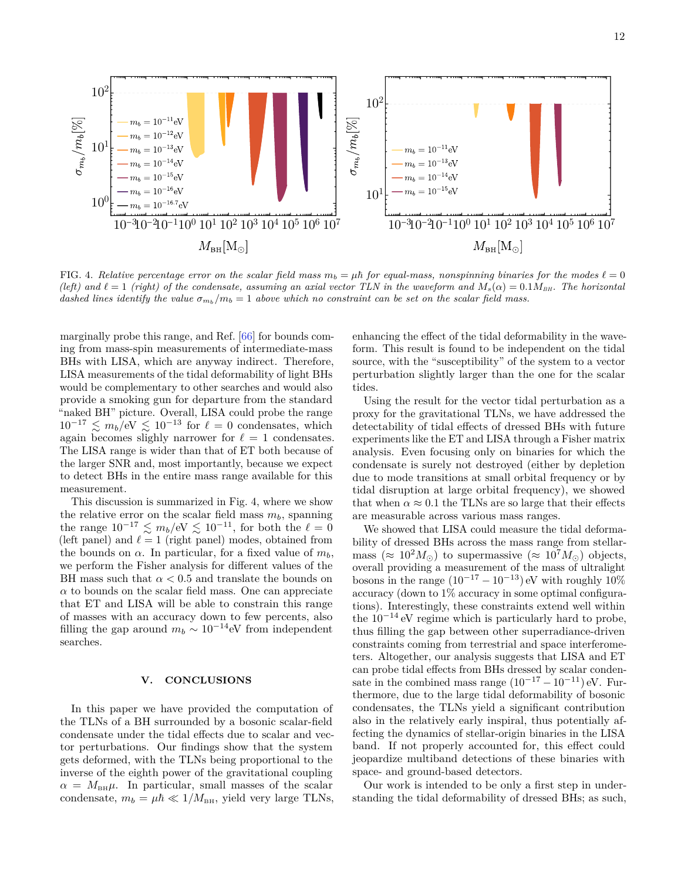<span id="page-11-0"></span>

FIG. 4. Relative percentage error on the scalar field mass  $m_b = \mu \hbar$  for equal-mass, nonspinning binaries for the modes  $\ell = 0$  $(\text{left})$  and  $\ell = 1$  (right) of the condensate, assuming an axial vector TLN in the waveform and  $M_s(\alpha) = 0.1 M_{BH}$ . The horizontal *dashed lines identify the value*  $\sigma_{m_b}/m_b = 1$  *above which no constraint can be set on the scalar field mass.* 

marginally probe this range, and Ref. [\[66\]](#page-15-16) for bounds coming from mass-spin measurements of intermediate-mass BHs with LISA, which are anyway indirect. Therefore, LISA measurements of the tidal deformability of light BHs would be complementary to other searches and would also provide a smoking gun for departure from the standard "naked BH" picture. Overall, LISA could probe the range  $10^{-17} \lesssim m_b/eV \lesssim 10^{-13}$  for  $\ell = 0$  condensates, which again becomes slighly narrower for  $\ell = 1$  condensates. The LISA range is wider than that of ET both because of the larger SNR and, most importantly, because we expect to detect BHs in the entire mass range available for this measurement.

This discussion is summarized in Fig. [4,](#page-11-0) where we show the relative error on the scalar field mass  $m_b$ , spanning the range  $10^{-17} \leq m_b/eV \leq 10^{-11}$ , for both the  $\ell = 0$ (left panel) and  $\ell = 1$  (right panel) modes, obtained from the bounds on  $\alpha$ . In particular, for a fixed value of  $m_b$ , we perform the Fisher analysis for different values of the BH mass such that  $\alpha < 0.5$  and translate the bounds on  $\alpha$  to bounds on the scalar field mass. One can appreciate that ET and LISA will be able to constrain this range of masses with an accuracy down to few percents, also filling the gap around  $m_b \sim 10^{-14}$ eV from independent searches.

# **V. CONCLUSIONS**

In this paper we have provided the computation of the TLNs of a BH surrounded by a bosonic scalar-field condensate under the tidal effects due to scalar and vector perturbations. Our findings show that the system gets deformed, with the TLNs being proportional to the inverse of the eighth power of the gravitational coupling  $\alpha = M_{BH}\mu$ . In particular, small masses of the scalar condensate,  $m_b = \mu \hbar \ll 1/M_{\text{BH}}$ , yield very large TLNs, enhancing the effect of the tidal deformability in the waveform. This result is found to be independent on the tidal source, with the "susceptibility" of the system to a vector perturbation slightly larger than the one for the scalar tides.

Using the result for the vector tidal perturbation as a proxy for the gravitational TLNs, we have addressed the detectability of tidal effects of dressed BHs with future experiments like the ET and LISA through a Fisher matrix analysis. Even focusing only on binaries for which the condensate is surely not destroyed (either by depletion due to mode transitions at small orbital frequency or by tidal disruption at large orbital frequency), we showed that when  $\alpha \approx 0.1$  the TLNs are so large that their effects are measurable across various mass ranges.

We showed that LISA could measure the tidal deformability of dressed BHs across the mass range from stellarmass ( $\approx 10^2 M_{\odot}$ ) to supermassive ( $\approx 10^7 M_{\odot}$ ) objects, overall providing a measurement of the mass of ultralight bosons in the range  $(10^{-17} - 10^{-13})$  eV with roughly  $10\%$ accuracy (down to 1% accuracy in some optimal configurations). Interestingly, these constraints extend well within the  $10^{-14}$  eV regime which is particularly hard to probe, thus filling the gap between other superradiance-driven constraints coming from terrestrial and space interferometers. Altogether, our analysis suggests that LISA and ET can probe tidal effects from BHs dressed by scalar condensate in the combined mass range  $(10^{-17} - 10^{-11})$  eV. Furthermore, due to the large tidal deformability of bosonic condensates, the TLNs yield a significant contribution also in the relatively early inspiral, thus potentially affecting the dynamics of stellar-origin binaries in the LISA band. If not properly accounted for, this effect could jeopardize multiband detections of these binaries with space- and ground-based detectors.

Our work is intended to be only a first step in understanding the tidal deformability of dressed BHs; as such,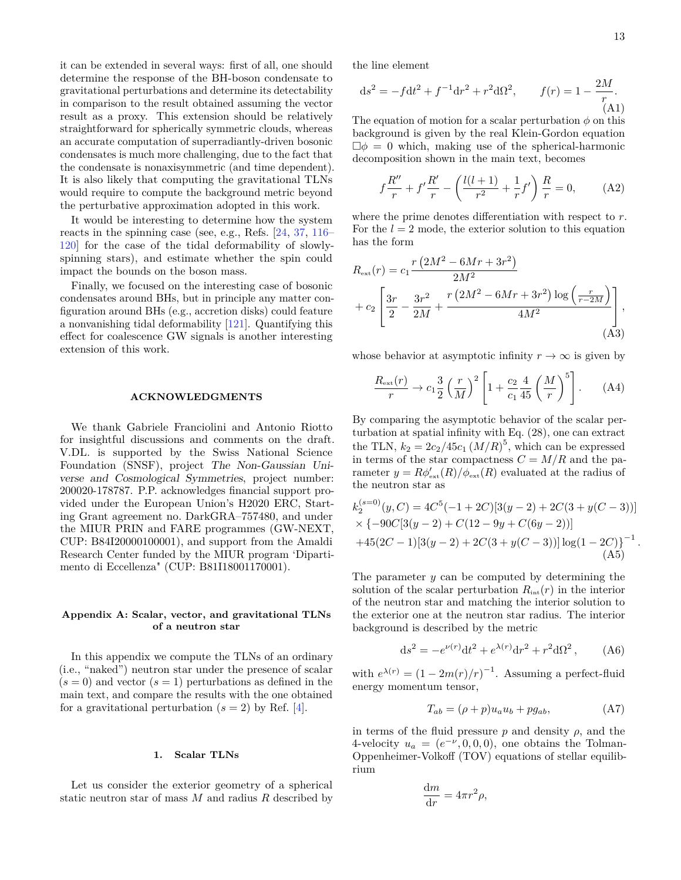it can be extended in several ways: first of all, one should determine the response of the BH-boson condensate to gravitational perturbations and determine its detectability in comparison to the result obtained assuming the vector result as a proxy. This extension should be relatively straightforward for spherically symmetric clouds, whereas an accurate computation of superradiantly-driven bosonic condensates is much more challenging, due to the fact that the condensate is nonaxisymmetric (and time dependent). It is also likely that computing the gravitational TLNs would require to compute the background metric beyond the perturbative approximation adopted in this work.

It would be interesting to determine how the system reacts in the spinning case (see, e.g., Refs. [\[24,](#page-14-13) [37,](#page-14-12) [116–](#page-16-11) [120\]](#page-16-12) for the case of the tidal deformability of slowlyspinning stars), and estimate whether the spin could impact the bounds on the boson mass.

Finally, we focused on the interesting case of bosonic condensates around BHs, but in principle any matter configuration around BHs (e.g., accretion disks) could feature a nonvanishing tidal deformability [\[121\]](#page-16-13). Quantifying this effect for coalescence GW signals is another interesting extension of this work.

#### **ACKNOWLEDGMENTS**

We thank Gabriele Franciolini and Antonio Riotto for insightful discussions and comments on the draft. V.DL. is supported by the Swiss National Science Foundation (SNSF), project The Non-Gaussian Universe and Cosmological Symmetries, project number: 200020-178787. P.P. acknowledges financial support provided under the European Union's H2020 ERC, Starting Grant agreement no. DarkGRA–757480, and under the MIUR PRIN and FARE programmes (GW-NEXT, CUP: B84I20000100001), and support from the Amaldi Research Center funded by the MIUR program 'Dipartimento di Eccellenza" (CUP: B81I18001170001).

# <span id="page-12-0"></span>**Appendix A: Scalar, vector, and gravitational TLNs of a neutron star**

In this appendix we compute the TLNs of an ordinary (i.e., "naked") neutron star under the presence of scalar  $(s = 0)$  and vector  $(s = 1)$  perturbations as defined in the main text, and compare the results with the one obtained for a gravitational perturbation  $(s = 2)$  by Ref. [\[4\]](#page-14-3).

# **1. Scalar TLNs**

Let us consider the exterior geometry of a spherical static neutron star of mass *M* and radius *R* described by the line element

$$
ds^{2} = -fdt^{2} + f^{-1}dr^{2} + r^{2}d\Omega^{2}, \qquad f(r) = 1 - \frac{2M}{r}.
$$
\n(A1)

The equation of motion for a scalar perturbation  $\phi$  on this background is given by the real Klein-Gordon equation  $\Box \phi = 0$  which, making use of the spherical-harmonic decomposition shown in the main text, becomes

$$
f\frac{R''}{r} + f'\frac{R'}{r} - \left(\frac{l(l+1)}{r^2} + \frac{1}{r}f'\right)\frac{R}{r} = 0,
$$
 (A2)

where the prime denotes differentiation with respect to *r*. For the  $l = 2$  mode, the exterior solution to this equation has the form

$$
R_{\text{ext}}(r) = c_1 \frac{r (2M^2 - 6Mr + 3r^2)}{2M^2} + c_2 \left[ \frac{3r}{2} - \frac{3r^2}{2M} + \frac{r (2M^2 - 6Mr + 3r^2) \log \left(\frac{r}{r - 2M}\right)}{4M^2} \right],
$$
\n(A3)

whose behavior at asymptotic infinity  $r \to \infty$  is given by

$$
\frac{R_{\text{ext}}(r)}{r} \to c_1 \frac{3}{2} \left(\frac{r}{M}\right)^2 \left[1 + \frac{c_2}{c_1} \frac{4}{45} \left(\frac{M}{r}\right)^5\right]. \tag{A4}
$$

By comparing the asymptotic behavior of the scalar perturbation at spatial infinity with Eq. [\(28\)](#page-5-2), one can extract the TLN,  $k_2 = 2c_2/45c_1 (M/R)^5$ , which can be expressed in terms of the star compactness  $C = M/R$  and the parameter  $y = R\phi_{\text{ext}}'(R)/\phi_{\text{ext}}(R)$  evaluated at the radius of the neutron star as

$$
k_2^{(s=0)}(y,C) = 4C^5(-1+2C)[3(y-2)+2C(3+y(C-3))]
$$
  
× {-90C[3(y-2) + C(12-9y + C(6y-2))]  
+45(2C-1)[3(y-2)+2C(3+y(C-3))][log(1-2C)]<sup>-1</sup>.  
(A5)

The parameter *y* can be computed by determining the solution of the scalar perturbation  $R_{\text{int}}(r)$  in the interior of the neutron star and matching the interior solution to the exterior one at the neutron star radius. The interior background is described by the metric

<span id="page-12-1"></span>
$$
ds^{2} = -e^{\nu(r)}dt^{2} + e^{\lambda(r)}dr^{2} + r^{2}d\Omega^{2}, \qquad (A6)
$$

with  $e^{\lambda(r)} = (1 - 2m(r)/r)^{-1}$ . Assuming a perfect-fluid energy momentum tensor,

$$
T_{ab} = (\rho + p)u_a u_b + pg_{ab}, \qquad (A7)
$$

in terms of the fluid pressure  $p$  and density  $\rho$ , and the 4-velocity  $u_a = (e^{-\nu}, 0, 0, 0)$ , one obtains the Tolman-Oppenheimer-Volkoff (TOV) equations of stellar equilibrium

$$
\frac{\mathrm{d}m}{\mathrm{d}r} = 4\pi r^2 \rho,
$$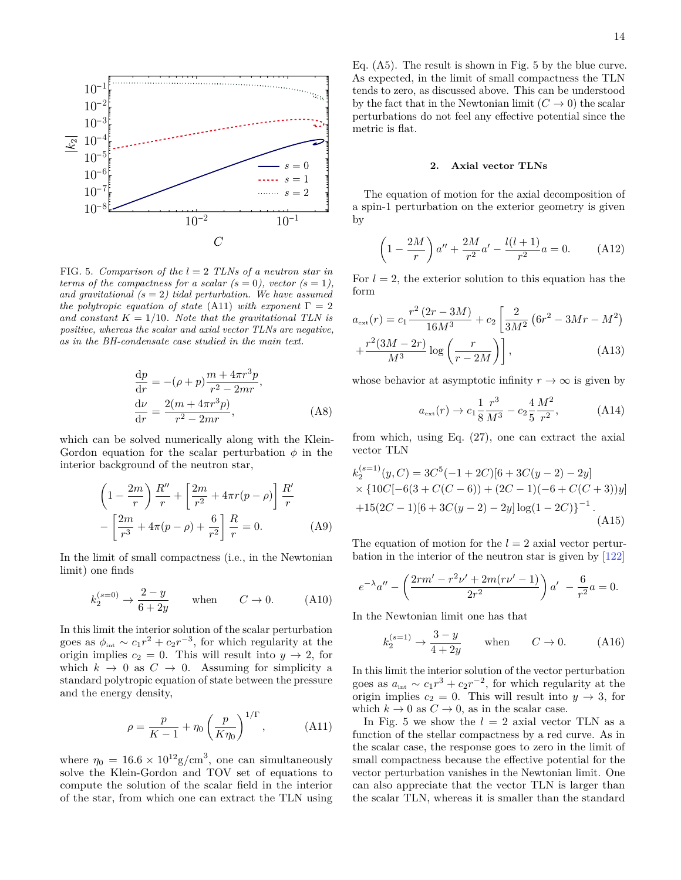<span id="page-13-1"></span>

FIG. 5. *Comparison of the l* = 2 *TLNs of a neutron star in terms of the compactness for a scalar*  $(s = 0)$ *, vector*  $(s = 1)$ *, and gravitational (s* = 2*) tidal perturbation. We have assumed the polytropic equation of state* [\(A11\)](#page-13-0) *with exponent*  $\Gamma = 2$ and constant  $K = 1/10$ *. Note that the gravitational TLN is positive, whereas the scalar and axial vector TLNs are negative, as in the BH-condensate case studied in the main text.*

$$
\frac{dp}{dr} = -(\rho + p)\frac{m + 4\pi r^3 p}{r^2 - 2mr},
$$
  
\n
$$
\frac{d\nu}{dr} = \frac{2(m + 4\pi r^3 p)}{r^2 - 2mr},
$$
\n(A8)

which can be solved numerically along with the Klein-Gordon equation for the scalar perturbation  $\phi$  in the interior background of the neutron star,

$$
\left(1 - \frac{2m}{r}\right)\frac{R''}{r} + \left[\frac{2m}{r^2} + 4\pi r(p - \rho)\right]\frac{R'}{r} - \left[\frac{2m}{r^3} + 4\pi (p - \rho) + \frac{6}{r^2}\right]\frac{R}{r} = 0.
$$
 (A9)

In the limit of small compactness (i.e., in the Newtonian limit) one finds

$$
k_2^{(s=0)} \to \frac{2-y}{6+2y} \qquad \text{when} \qquad C \to 0. \tag{A10}
$$

In this limit the interior solution of the scalar perturbation goes as  $\phi_{\text{int}} \sim c_1 r^2 + c_2 r^{-3}$ , for which regularity at the origin implies  $c_2 = 0$ . This will result into  $y \to 2$ , for which  $k \to 0$  as  $C \to 0$ . Assuming for simplicity a standard polytropic equation of state between the pressure and the energy density,

<span id="page-13-0"></span>
$$
\rho = \frac{p}{K - 1} + \eta_0 \left(\frac{p}{K \eta_0}\right)^{1/\Gamma},
$$
 (A11)

where  $\eta_0 = 16.6 \times 10^{12}$  g/cm<sup>3</sup>, one can simultaneously solve the Klein-Gordon and TOV set of equations to compute the solution of the scalar field in the interior of the star, from which one can extract the TLN using Eq. [\(A5\)](#page-12-1). The result is shown in Fig. [5](#page-13-1) by the blue curve. As expected, in the limit of small compactness the TLN tends to zero, as discussed above. This can be understood by the fact that in the Newtonian limit  $(C \to 0)$  the scalar perturbations do not feel any effective potential since the metric is flat.

#### **2. Axial vector TLNs**

The equation of motion for the axial decomposition of a spin-1 perturbation on the exterior geometry is given by

$$
\left(1 - \frac{2M}{r}\right)a'' + \frac{2M}{r^2}a' - \frac{l(l+1)}{r^2}a = 0.
$$
 (A12)

For  $l = 2$ , the exterior solution to this equation has the form

$$
a_{\text{ext}}(r) = c_1 \frac{r^2 (2r - 3M)}{16M^3} + c_2 \left[ \frac{2}{3M^2} (6r^2 - 3Mr - M^2) + \frac{r^2 (3M - 2r)}{M^3} \log \left( \frac{r}{r - 2M} \right) \right],
$$
 (A13)

whose behavior at asymptotic infinity  $r \to \infty$  is given by

$$
a_{\rm ext}(r) \to c_1 \frac{1}{8} \frac{r^3}{M^3} - c_2 \frac{4}{5} \frac{M^2}{r^2},
$$
 (A14)

from which, using Eq. [\(27\)](#page-5-3), one can extract the axial vector TLN

$$
k_2^{(s=1)}(y,C) = 3C^5(-1+2C)[6+3C(y-2)-2y] \times \{10C[-6(3+C(C-6))+(2C-1)(-6+C(C+3))y] + 15(2C-1)[6+3C(y-2)-2y] \log(1-2C)\}^{-1}.
$$
\n(A15)

The equation of motion for the  $l = 2$  axial vector perturbation in the interior of the neutron star is given by [\[122\]](#page-16-14)

$$
e^{-\lambda}a'' - \left(\frac{2rm' - r^2\nu' + 2m(r\nu' - 1)}{2r^2}\right)a' - \frac{6}{r^2}a = 0.
$$

In the Newtonian limit one has that

$$
k_2^{(s=1)} \to \frac{3-y}{4+2y} \qquad \text{when} \qquad C \to 0. \tag{A16}
$$

In this limit the interior solution of the vector perturbation goes as  $a_{\text{int}} \sim c_1 r^3 + c_2 r^{-2}$ , for which regularity at the origin implies  $c_2 = 0$ . This will result into  $y \to 3$ , for which  $k \to 0$  as  $C \to 0$ , as in the scalar case.

In Fig. [5](#page-13-1) we show the  $l = 2$  axial vector TLN as a function of the stellar compactness by a red curve. As in the scalar case, the response goes to zero in the limit of small compactness because the effective potential for the vector perturbation vanishes in the Newtonian limit. One can also appreciate that the vector TLN is larger than the scalar TLN, whereas it is smaller than the standard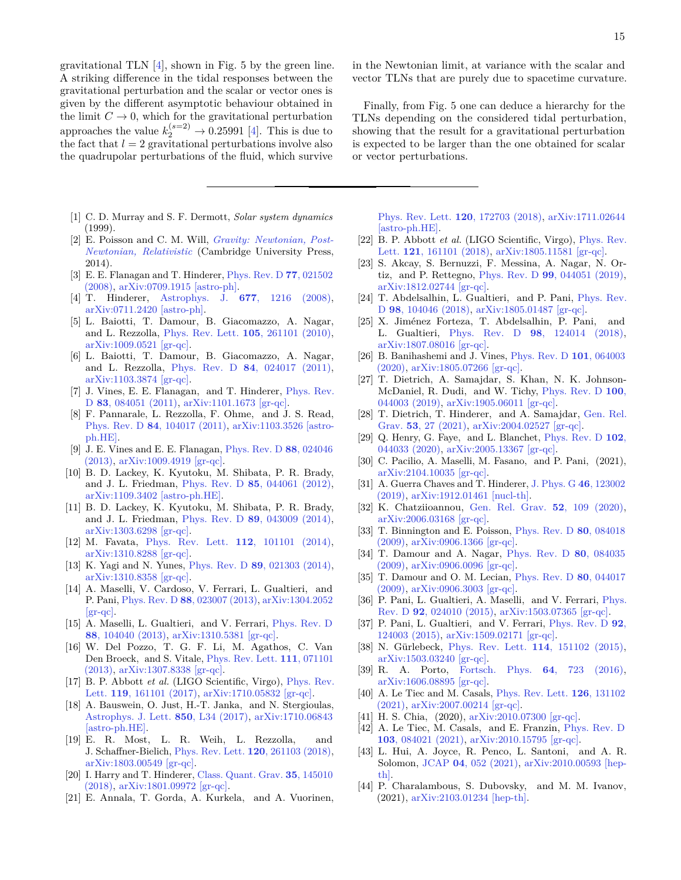gravitational TLN [\[4\]](#page-14-3), shown in Fig. [5](#page-13-1) by the green line. A striking difference in the tidal responses between the gravitational perturbation and the scalar or vector ones is given by the different asymptotic behaviour obtained in the limit  $C \to 0$ , which for the gravitational perturbation approaches the value  $k_2^{(s=2)} \rightarrow 0.25991$  [\[4\]](#page-14-3). This is due to the fact that  $l = 2$  gravitational perturbations involve also the quadrupolar perturbations of the fluid, which survive

- <span id="page-14-0"></span>[1] C. D. Murray and S. F. Dermott, *Solar system dynamics* (1999).
- <span id="page-14-1"></span>[2] E. Poisson and C. M. Will, *[Gravity: Newtonian, Post-](http://dx.doi.org/10.1017/CBO9781139507486)[Newtonian, Relativistic](http://dx.doi.org/10.1017/CBO9781139507486)* (Cambridge University Press, 2014).
- <span id="page-14-2"></span>[3] E. E. Flanagan and T. Hinderer, [Phys. Rev. D](http://dx.doi.org/10.1103/PhysRevD.77.021502) **77**, 021502 [\(2008\),](http://dx.doi.org/10.1103/PhysRevD.77.021502) [arXiv:0709.1915 \[astro-ph\].](http://arxiv.org/abs/0709.1915)
- <span id="page-14-3"></span>[4] T. Hinderer, Astrophys. J. **677**[, 1216 \(2008\),](http://dx.doi.org/10.1086/533487) [arXiv:0711.2420 \[astro-ph\].](http://arxiv.org/abs/0711.2420)
- <span id="page-14-4"></span>[5] L. Baiotti, T. Damour, B. Giacomazzo, A. Nagar, and L. Rezzolla, [Phys. Rev. Lett.](http://dx.doi.org/ 10.1103/PhysRevLett.105.261101) **105**, 261101 (2010), [arXiv:1009.0521 \[gr-qc\].](http://arxiv.org/abs/1009.0521)
- [6] L. Baiotti, T. Damour, B. Giacomazzo, A. Nagar, and L. Rezzolla, Phys. Rev. D **84**[, 024017 \(2011\),](http://dx.doi.org/ 10.1103/PhysRevD.84.024017) [arXiv:1103.3874 \[gr-qc\].](http://arxiv.org/abs/1103.3874)
- <span id="page-14-14"></span>[7] J. Vines, E. E. Flanagan, and T. Hinderer, [Phys. Rev.](http://dx.doi.org/10.1103/PhysRevD.83.084051) D **83**[, 084051 \(2011\),](http://dx.doi.org/10.1103/PhysRevD.83.084051) [arXiv:1101.1673 \[gr-qc\].](http://arxiv.org/abs/1101.1673)
- [8] F. Pannarale, L. Rezzolla, F. Ohme, and J. S. Read, Phys. Rev. D **84**[, 104017 \(2011\),](http://dx.doi.org/ 10.1103/PhysRevD.84.104017) [arXiv:1103.3526 \[astro](http://arxiv.org/abs/1103.3526)[ph.HE\].](http://arxiv.org/abs/1103.3526)
- [9] J. E. Vines and E. E. Flanagan, [Phys. Rev. D](http://dx.doi.org/10.1103/PhysRevD.88.024046) **88**, 024046 [\(2013\),](http://dx.doi.org/10.1103/PhysRevD.88.024046) [arXiv:1009.4919 \[gr-qc\].](http://arxiv.org/abs/1009.4919)
- [10] B. D. Lackey, K. Kyutoku, M. Shibata, P. R. Brady, and J. L. Friedman, Phys. Rev. D **85**[, 044061 \(2012\),](http://dx.doi.org/ 10.1103/PhysRevD.85.044061) [arXiv:1109.3402 \[astro-ph.HE\].](http://arxiv.org/abs/1109.3402)
- [11] B. D. Lackey, K. Kyutoku, M. Shibata, P. R. Brady, and J. L. Friedman, Phys. Rev. D **89**[, 043009 \(2014\),](http://dx.doi.org/ 10.1103/PhysRevD.89.043009) [arXiv:1303.6298 \[gr-qc\].](http://arxiv.org/abs/1303.6298)
- [12] M. Favata, [Phys. Rev. Lett.](http://dx.doi.org/10.1103/PhysRevLett.112.101101) **112**, 101101 (2014), [arXiv:1310.8288 \[gr-qc\].](http://arxiv.org/abs/1310.8288)
- [13] K. Yagi and N. Yunes, Phys. Rev. D **89**[, 021303 \(2014\),](http://dx.doi.org/10.1103/PhysRevD.89.021303) [arXiv:1310.8358 \[gr-qc\].](http://arxiv.org/abs/1310.8358)
- [14] A. Maselli, V. Cardoso, V. Ferrari, L. Gualtieri, and P. Pani, Phys. Rev. D **88**[, 023007 \(2013\),](http://dx.doi.org/ 10.1103/PhysRevD.88.023007) [arXiv:1304.2052](http://arxiv.org/abs/1304.2052)  $|gr-qc|$ .
- [15] A. Maselli, L. Gualtieri, and V. Ferrari, [Phys. Rev. D](http://dx.doi.org/10.1103/PhysRevD.88.104040) **88**[, 104040 \(2013\),](http://dx.doi.org/10.1103/PhysRevD.88.104040) [arXiv:1310.5381 \[gr-qc\].](http://arxiv.org/abs/1310.5381)
- [16] W. Del Pozzo, T. G. F. Li, M. Agathos, C. Van Den Broeck, and S. Vitale, [Phys. Rev. Lett.](http://dx.doi.org/10.1103/PhysRevLett.111.071101) **111**, 071101 [\(2013\),](http://dx.doi.org/10.1103/PhysRevLett.111.071101) [arXiv:1307.8338 \[gr-qc\].](http://arxiv.org/abs/1307.8338)
- [17] B. P. Abbott *et al.* (LIGO Scientific, Virgo), [Phys. Rev.](http://dx.doi.org/10.1103/PhysRevLett.119.161101) Lett. **119**[, 161101 \(2017\),](http://dx.doi.org/10.1103/PhysRevLett.119.161101) [arXiv:1710.05832 \[gr-qc\].](http://arxiv.org/abs/1710.05832)
- [18] A. Bauswein, O. Just, H.-T. Janka, and N. Stergioulas, [Astrophys. J. Lett.](http://dx.doi.org/10.3847/2041-8213/aa9994) **850**, L34 (2017), [arXiv:1710.06843](http://arxiv.org/abs/1710.06843) [\[astro-ph.HE\].](http://arxiv.org/abs/1710.06843)
- [19] E. R. Most, L. R. Weih, L. Rezzolla, and J. Schaffner-Bielich, [Phys. Rev. Lett.](http://dx.doi.org/10.1103/PhysRevLett.120.261103) **120**, 261103 (2018), [arXiv:1803.00549 \[gr-qc\].](http://arxiv.org/abs/1803.00549)
- [20] I. Harry and T. Hinderer, [Class. Quant. Grav.](http://dx.doi.org/10.1088/1361-6382/aac7e3) **35**, 145010 [\(2018\),](http://dx.doi.org/10.1088/1361-6382/aac7e3) [arXiv:1801.09972 \[gr-qc\].](http://arxiv.org/abs/1801.09972)
- [21] E. Annala, T. Gorda, A. Kurkela, and A. Vuorinen,

in the Newtonian limit, at variance with the scalar and vector TLNs that are purely due to spacetime curvature.

Finally, from Fig. [5](#page-13-1) one can deduce a hierarchy for the TLNs depending on the considered tidal perturbation, showing that the result for a gravitational perturbation is expected to be larger than the one obtained for scalar or vector perturbations.

[Phys. Rev. Lett.](http://dx.doi.org/10.1103/PhysRevLett.120.172703) **120**, 172703 (2018), [arXiv:1711.02644](http://arxiv.org/abs/1711.02644) [\[astro-ph.HE\].](http://arxiv.org/abs/1711.02644)

- [22] B. P. Abbott *et al.* (LIGO Scientific, Virgo), [Phys. Rev.](http://dx.doi.org/10.1103/PhysRevLett.121.161101) Lett. **121**[, 161101 \(2018\),](http://dx.doi.org/10.1103/PhysRevLett.121.161101) [arXiv:1805.11581 \[gr-qc\].](http://arxiv.org/abs/1805.11581)
- [23] S. Akcay, S. Bernuzzi, F. Messina, A. Nagar, N. Ortiz, and P. Rettegno, Phys. Rev. D **99**[, 044051 \(2019\),](http://dx.doi.org/ 10.1103/PhysRevD.99.044051) [arXiv:1812.02744 \[gr-qc\].](http://arxiv.org/abs/1812.02744)
- <span id="page-14-13"></span>[24] T. Abdelsalhin, L. Gualtieri, and P. Pani, [Phys. Rev.](http://dx.doi.org/10.1103/PhysRevD.98.104046) D **98**[, 104046 \(2018\),](http://dx.doi.org/10.1103/PhysRevD.98.104046) [arXiv:1805.01487 \[gr-qc\].](http://arxiv.org/abs/1805.01487)
- [25] X. Jiménez Forteza, T. Abdelsalhin, P. Pani, and L. Gualtieri, Phys. Rev. D **98**[, 124014 \(2018\),](http://dx.doi.org/10.1103/PhysRevD.98.124014) [arXiv:1807.08016 \[gr-qc\].](http://arxiv.org/abs/1807.08016)
- [26] B. Banihashemi and J. Vines, [Phys. Rev. D](http://dx.doi.org/10.1103/PhysRevD.101.064003) **101**, 064003 [\(2020\),](http://dx.doi.org/10.1103/PhysRevD.101.064003) [arXiv:1805.07266 \[gr-qc\].](http://arxiv.org/abs/1805.07266)
- [27] T. Dietrich, A. Samajdar, S. Khan, N. K. Johnson-McDaniel, R. Dudi, and W. Tichy, [Phys. Rev. D](http://dx.doi.org/ 10.1103/PhysRevD.100.044003) **100**, [044003 \(2019\),](http://dx.doi.org/ 10.1103/PhysRevD.100.044003) [arXiv:1905.06011 \[gr-qc\].](http://arxiv.org/abs/1905.06011)
- [28] T. Dietrich, T. Hinderer, and A. Samajdar, [Gen. Rel.](http://dx.doi.org/10.1007/s10714-020-02751-6) Grav. **53**[, 27 \(2021\),](http://dx.doi.org/10.1007/s10714-020-02751-6) [arXiv:2004.02527 \[gr-qc\].](http://arxiv.org/abs/2004.02527)
- [29] Q. Henry, G. Faye, and L. Blanchet, [Phys. Rev. D](http://dx.doi.org/10.1103/PhysRevD.102.044033) **102**, [044033 \(2020\),](http://dx.doi.org/10.1103/PhysRevD.102.044033) [arXiv:2005.13367 \[gr-qc\].](http://arxiv.org/abs/2005.13367)
- <span id="page-14-5"></span>[30] C. Pacilio, A. Maselli, M. Fasano, and P. Pani, (2021), [arXiv:2104.10035 \[gr-qc\].](http://arxiv.org/abs/2104.10035)
- <span id="page-14-6"></span>[31] A. Guerra Chaves and T. Hinderer, [J. Phys. G](http://dx.doi.org/10.1088/1361-6471/ab45be) **46**, 123002 [\(2019\),](http://dx.doi.org/10.1088/1361-6471/ab45be) [arXiv:1912.01461 \[nucl-th\].](http://arxiv.org/abs/1912.01461)
- <span id="page-14-7"></span>[32] K. Chatziioannou, [Gen. Rel. Grav.](http://dx.doi.org/10.1007/s10714-020-02754-3) **52**, 109 (2020), [arXiv:2006.03168 \[gr-qc\].](http://arxiv.org/abs/2006.03168)
- <span id="page-14-8"></span>[33] T. Binnington and E. Poisson, [Phys. Rev. D](http://dx.doi.org/10.1103/PhysRevD.80.084018) **80**, 084018 [\(2009\),](http://dx.doi.org/10.1103/PhysRevD.80.084018) [arXiv:0906.1366 \[gr-qc\].](http://arxiv.org/abs/0906.1366)
- [34] T. Damour and A. Nagar, [Phys. Rev. D](http://dx.doi.org/10.1103/PhysRevD.80.084035) **80**, 084035 [\(2009\),](http://dx.doi.org/10.1103/PhysRevD.80.084035) [arXiv:0906.0096 \[gr-qc\].](http://arxiv.org/abs/0906.0096)
- [35] T. Damour and O. M. Lecian, [Phys. Rev. D](http://dx.doi.org/10.1103/PhysRevD.80.044017) **80**, 044017 [\(2009\),](http://dx.doi.org/10.1103/PhysRevD.80.044017) [arXiv:0906.3003 \[gr-qc\].](http://arxiv.org/abs/0906.3003)
- <span id="page-14-11"></span>[36] P. Pani, L. Gualtieri, A. Maselli, and V. Ferrari, *[Phys.](http://dx.doi.org/10.1103/PhysRevD.92.024010)* Rev. D **92**[, 024010 \(2015\),](http://dx.doi.org/10.1103/PhysRevD.92.024010) [arXiv:1503.07365 \[gr-qc\].](http://arxiv.org/abs/1503.07365)
- <span id="page-14-12"></span>[37] P. Pani, L. Gualtieri, and V. Ferrari, [Phys. Rev. D](http://dx.doi.org/10.1103/PhysRevD.92.124003) **92**, [124003 \(2015\),](http://dx.doi.org/10.1103/PhysRevD.92.124003) [arXiv:1509.02171 \[gr-qc\].](http://arxiv.org/abs/1509.02171)
- [38] N. Gürlebeck, [Phys. Rev. Lett.](http://dx.doi.org/10.1103/PhysRevLett.114.151102) **114**, 151102 (2015), [arXiv:1503.03240 \[gr-qc\].](http://arxiv.org/abs/1503.03240)
- <span id="page-14-9"></span>[39] R. A. Porto, [Fortsch. Phys.](http://dx.doi.org/10.1002/prop.201600064) **64**, 723 (2016), [arXiv:1606.08895 \[gr-qc\].](http://arxiv.org/abs/1606.08895)
- [40] A. Le Tiec and M. Casals, [Phys. Rev. Lett.](http://dx.doi.org/10.1103/PhysRevLett.126.131102) **126**, 131102 [\(2021\),](http://dx.doi.org/10.1103/PhysRevLett.126.131102) [arXiv:2007.00214 \[gr-qc\].](http://arxiv.org/abs/2007.00214)
- [41] H. S. Chia, (2020), [arXiv:2010.07300 \[gr-qc\].](http://arxiv.org/abs/2010.07300)
- [42] A. Le Tiec, M. Casals, and E. Franzin, [Phys. Rev. D](http://dx.doi.org/10.1103/PhysRevD.103.084021) **103**[, 084021 \(2021\),](http://dx.doi.org/10.1103/PhysRevD.103.084021) [arXiv:2010.15795 \[gr-qc\].](http://arxiv.org/abs/2010.15795)
- <span id="page-14-10"></span>[43] L. Hui, A. Joyce, R. Penco, L. Santoni, and A. R. Solomon, JCAP **04**[, 052 \(2021\),](http://dx.doi.org/ 10.1088/1475-7516/2021/04/052) [arXiv:2010.00593 \[hep](http://arxiv.org/abs/2010.00593)[th\].](http://arxiv.org/abs/2010.00593)
- [44] P. Charalambous, S. Dubovsky, and M. M. Ivanov, (2021), [arXiv:2103.01234 \[hep-th\].](http://arxiv.org/abs/2103.01234)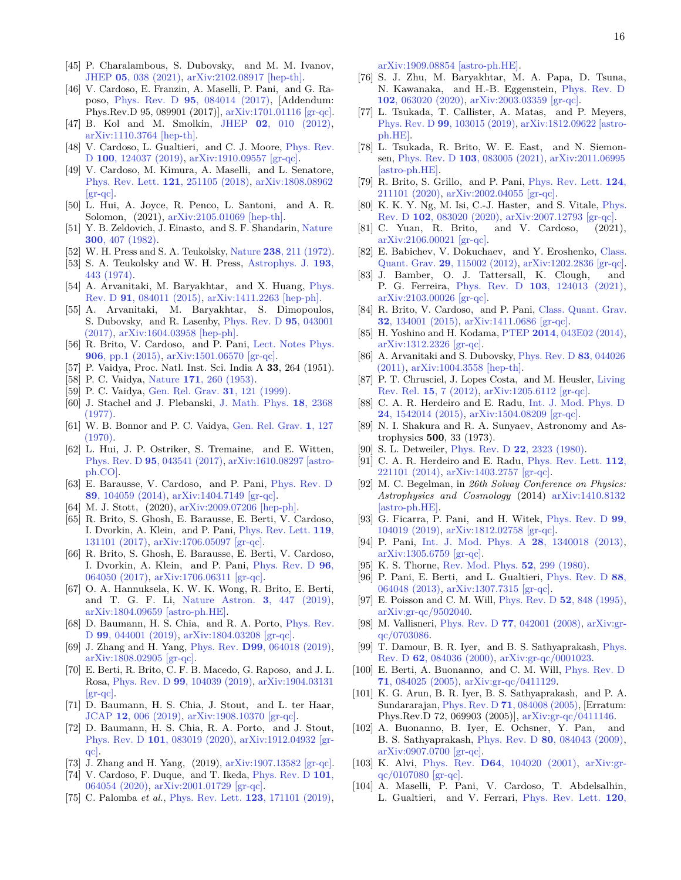- <span id="page-15-0"></span>[45] P. Charalambous, S. Dubovsky, and M. M. Ivanov, JHEP **05**[, 038 \(2021\),](http://dx.doi.org/10.1007/JHEP05(2021)038) [arXiv:2102.08917 \[hep-th\].](http://arxiv.org/abs/2102.08917)
- <span id="page-15-1"></span>[46] V. Cardoso, E. Franzin, A. Maselli, P. Pani, and G. Raposo, Phys. Rev. D **95**[, 084014 \(2017\),](http://dx.doi.org/ 10.1103/PhysRevD.95.084014) [Addendum: Phys.Rev.D 95, 089901 (2017)], [arXiv:1701.01116 \[gr-qc\].](http://arxiv.org/abs/1701.01116)
- <span id="page-15-2"></span>[47] B. Kol and M. Smolkin, JHEP **02**[, 010 \(2012\),](http://dx.doi.org/10.1007/JHEP02(2012)010) [arXiv:1110.3764 \[hep-th\].](http://arxiv.org/abs/1110.3764)
- <span id="page-15-3"></span>[48] V. Cardoso, L. Gualtieri, and C. J. Moore, [Phys. Rev.](http://dx.doi.org/10.1103/PhysRevD.100.124037) D **100**[, 124037 \(2019\),](http://dx.doi.org/10.1103/PhysRevD.100.124037) [arXiv:1910.09557 \[gr-qc\].](http://arxiv.org/abs/1910.09557)
- <span id="page-15-4"></span>[49] V. Cardoso, M. Kimura, A. Maselli, and L. Senatore, [Phys. Rev. Lett.](http://dx.doi.org/10.1103/PhysRevLett.121.251105) **121**, 251105 (2018), [arXiv:1808.08962](http://arxiv.org/abs/1808.08962)  $\left[\text{gr-qc}\right]$ .
- <span id="page-15-5"></span>[50] L. Hui, A. Joyce, R. Penco, L. Santoni, and A. R. Solomon, (2021), [arXiv:2105.01069 \[hep-th\].](http://arxiv.org/abs/2105.01069)
- <span id="page-15-6"></span>[51] Y. B. Zeldovich, J. Einasto, and S. F. Shandarin, [Nature](http://dx.doi.org/10.1038/300407a0) **300**[, 407 \(1982\).](http://dx.doi.org/10.1038/300407a0)
- [52] W. H. Press and S. A. Teukolsky, Nature **238**[, 211 \(1972\).](http://dx.doi.org/10.1038/238211a0)
- [53] S. A. Teukolsky and W. H. Press, [Astrophys. J.](http://dx.doi.org/10.1086/153180) **193**, [443 \(1974\).](http://dx.doi.org/10.1086/153180)
- <span id="page-15-13"></span>[54] A. Arvanitaki, M. Baryakhtar, and X. Huang, [Phys.](http://dx.doi.org/10.1103/PhysRevD.91.084011) Rev. D **91**[, 084011 \(2015\),](http://dx.doi.org/10.1103/PhysRevD.91.084011) [arXiv:1411.2263 \[hep-ph\].](http://arxiv.org/abs/1411.2263)
- <span id="page-15-7"></span>[55] A. Arvanitaki, M. Baryakhtar, S. Dimopoulos, S. Dubovsky, and R. Lasenby, [Phys. Rev. D](http://dx.doi.org/10.1103/PhysRevD.95.043001) **95**, 043001 [\(2017\),](http://dx.doi.org/10.1103/PhysRevD.95.043001) [arXiv:1604.03958 \[hep-ph\].](http://arxiv.org/abs/1604.03958)
- <span id="page-15-8"></span>[56] R. Brito, V. Cardoso, and P. Pani, [Lect. Notes Phys.](http://dx.doi.org/10.1007/978-3-319-19000-6) **906**[, pp.1 \(2015\),](http://dx.doi.org/10.1007/978-3-319-19000-6) [arXiv:1501.06570 \[gr-qc\].](http://arxiv.org/abs/1501.06570)
- <span id="page-15-9"></span>[57] P. Vaidya, Proc. Natl. Inst. Sci. India A **33**, 264 (1951).
- [58] P. C. Vaidya, Nature **171**[, 260 \(1953\).](http://dx.doi.org/10.1038/171260a0)
- [59] P. C. Vaidya, [Gen. Rel. Grav.](http://dx.doi.org/10.1023/A:1018875606950) **31**, 121 (1999).
- [60] J. Stachel and J. Plebanski, [J. Math. Phys.](http://dx.doi.org/10.1063/1.523222) **18**, 2368 [\(1977\).](http://dx.doi.org/10.1063/1.523222)
- <span id="page-15-10"></span>[61] W. B. Bonnor and P. C. Vaidya, [Gen. Rel. Grav.](http://dx.doi.org/10.1007/BF00756891) **1**, 127  $(1970)$ .
- <span id="page-15-11"></span>[62] L. Hui, J. P. Ostriker, S. Tremaine, and E. Witten, Phys. Rev. D **95**[, 043541 \(2017\),](http://dx.doi.org/10.1103/PhysRevD.95.043541) [arXiv:1610.08297 \[astro](http://arxiv.org/abs/1610.08297)[ph.CO\].](http://arxiv.org/abs/1610.08297)
- <span id="page-15-12"></span>[63] E. Barausse, V. Cardoso, and P. Pani, [Phys. Rev. D](http://dx.doi.org/10.1103/PhysRevD.89.104059) **89**[, 104059 \(2014\),](http://dx.doi.org/10.1103/PhysRevD.89.104059) [arXiv:1404.7149 \[gr-qc\].](http://arxiv.org/abs/1404.7149)
- <span id="page-15-14"></span>[64] M. J. Stott, (2020), [arXiv:2009.07206 \[hep-ph\].](http://arxiv.org/abs/2009.07206)
- <span id="page-15-15"></span>[65] R. Brito, S. Ghosh, E. Barausse, E. Berti, V. Cardoso, I. Dvorkin, A. Klein, and P. Pani, [Phys. Rev. Lett.](http://dx.doi.org/10.1103/PhysRevLett.119.131101) **119**, [131101 \(2017\),](http://dx.doi.org/10.1103/PhysRevLett.119.131101) [arXiv:1706.05097 \[gr-qc\].](http://arxiv.org/abs/1706.05097)
- <span id="page-15-16"></span>[66] R. Brito, S. Ghosh, E. Barausse, E. Berti, V. Cardoso, I. Dvorkin, A. Klein, and P. Pani, [Phys. Rev. D](http://dx.doi.org/10.1103/PhysRevD.96.064050) **96**, [064050 \(2017\),](http://dx.doi.org/10.1103/PhysRevD.96.064050) [arXiv:1706.06311 \[gr-qc\].](http://arxiv.org/abs/1706.06311)
- <span id="page-15-17"></span>[67] O. A. Hannuksela, K. W. K. Wong, R. Brito, E. Berti, and T. G. F. Li, [Nature Astron.](http://dx.doi.org/ 10.1038/s41550-019-0712-4) **3**, 447 (2019), [arXiv:1804.09659 \[astro-ph.HE\].](http://arxiv.org/abs/1804.09659)
- <span id="page-15-18"></span>[68] D. Baumann, H. S. Chia, and R. A. Porto, [Phys. Rev.](http://dx.doi.org/10.1103/PhysRevD.99.044001) D **99**[, 044001 \(2019\),](http://dx.doi.org/10.1103/PhysRevD.99.044001) [arXiv:1804.03208 \[gr-qc\].](http://arxiv.org/abs/1804.03208)
- [69] J. Zhang and H. Yang, Phys. Rev. **D99**[, 064018 \(2019\),](http://dx.doi.org/10.1103/PhysRevD.99.064018) [arXiv:1808.02905 \[gr-qc\].](http://arxiv.org/abs/1808.02905)
- <span id="page-15-50"></span>[70] E. Berti, R. Brito, C. F. B. Macedo, G. Raposo, and J. L. Rosa, Phys. Rev. D **99**[, 104039 \(2019\),](http://dx.doi.org/ 10.1103/PhysRevD.99.104039) [arXiv:1904.03131](http://arxiv.org/abs/1904.03131)  $[\text{gr-}\text{acl}]$ .
- [71] D. Baumann, H. S. Chia, J. Stout, and L. ter Haar, JCAP **12**[, 006 \(2019\),](http://dx.doi.org/ 10.1088/1475-7516/2019/12/006) [arXiv:1908.10370 \[gr-qc\].](http://arxiv.org/abs/1908.10370)
- [72] D. Baumann, H. S. Chia, R. A. Porto, and J. Stout, Phys. Rev. D **101**[, 083019 \(2020\),](http://dx.doi.org/10.1103/PhysRevD.101.083019) [arXiv:1912.04932 \[gr](http://arxiv.org/abs/1912.04932)[qc\].](http://arxiv.org/abs/1912.04932)
- [73] J. Zhang and H. Yang, (2019), [arXiv:1907.13582 \[gr-qc\].](http://arxiv.org/abs/1907.13582)
- <span id="page-15-19"></span>[74] V. Cardoso, F. Duque, and T. Ikeda, [Phys. Rev. D](http://dx.doi.org/10.1103/PhysRevD.101.064054) **101**, [064054 \(2020\),](http://dx.doi.org/10.1103/PhysRevD.101.064054) [arXiv:2001.01729 \[gr-qc\].](http://arxiv.org/abs/2001.01729)
- <span id="page-15-20"></span>[75] C. Palomba *et al.*, [Phys. Rev. Lett.](http://dx.doi.org/10.1103/PhysRevLett.123.171101) **123**, 171101 (2019),

[arXiv:1909.08854 \[astro-ph.HE\].](http://arxiv.org/abs/1909.08854)

- <span id="page-15-21"></span>[76] S. J. Zhu, M. Baryakhtar, M. A. Papa, D. Tsuna, N. Kawanaka, and H.-B. Eggenstein, [Phys. Rev. D](http://dx.doi.org/ 10.1103/PhysRevD.102.063020) **102**[, 063020 \(2020\),](http://dx.doi.org/ 10.1103/PhysRevD.102.063020) [arXiv:2003.03359 \[gr-qc\].](http://arxiv.org/abs/2003.03359)
- <span id="page-15-22"></span>[77] L. Tsukada, T. Callister, A. Matas, and P. Meyers, Phys. Rev. D **99**[, 103015 \(2019\),](http://dx.doi.org/ 10.1103/PhysRevD.99.103015) [arXiv:1812.09622 \[astro](http://arxiv.org/abs/1812.09622)[ph.HE\].](http://arxiv.org/abs/1812.09622)
- <span id="page-15-23"></span>[78] L. Tsukada, R. Brito, W. E. East, and N. Siemonsen, Phys. Rev. D **103**[, 083005 \(2021\),](http://dx.doi.org/10.1103/PhysRevD.103.083005) [arXiv:2011.06995](http://arxiv.org/abs/2011.06995) [\[astro-ph.HE\].](http://arxiv.org/abs/2011.06995)
- <span id="page-15-24"></span>[79] R. Brito, S. Grillo, and P. Pani, [Phys. Rev. Lett.](http://dx.doi.org/10.1103/PhysRevLett.124.211101) **124**, [211101 \(2020\),](http://dx.doi.org/10.1103/PhysRevLett.124.211101) [arXiv:2002.04055 \[gr-qc\].](http://arxiv.org/abs/2002.04055)
- <span id="page-15-25"></span>[80] K. K. Y. Ng, M. Isi, C.-J. Haster, and S. Vitale, *[Phys.](http://dx.doi.org/10.1103/PhysRevD.102.083020)* Rev. D **102**[, 083020 \(2020\),](http://dx.doi.org/10.1103/PhysRevD.102.083020) [arXiv:2007.12793 \[gr-qc\].](http://arxiv.org/abs/2007.12793)
- <span id="page-15-26"></span>[81] C. Yuan, R. Brito, and V. Cardoso, (2021), [arXiv:2106.00021 \[gr-qc\].](http://arxiv.org/abs/2106.00021)
- <span id="page-15-27"></span>[82] E. Babichev, V. Dokuchaev, and Y. Eroshenko, [Class.](http://dx.doi.org/10.1088/0264-9381/29/11/115002) Quant. Grav. **29**[, 115002 \(2012\),](http://dx.doi.org/10.1088/0264-9381/29/11/115002) [arXiv:1202.2836 \[gr-qc\].](http://arxiv.org/abs/1202.2836)
- <span id="page-15-28"></span>[83] J. Bamber, O. J. Tattersall, K. Clough, and P. G. Ferreira, Phys. Rev. D **103**[, 124013 \(2021\),](http://dx.doi.org/10.1103/PhysRevD.103.124013) [arXiv:2103.00026 \[gr-qc\].](http://arxiv.org/abs/2103.00026)
- <span id="page-15-29"></span>[84] R. Brito, V. Cardoso, and P. Pani, [Class. Quant. Grav.](http://dx.doi.org/10.1088/0264-9381/32/13/134001) **32**[, 134001 \(2015\),](http://dx.doi.org/10.1088/0264-9381/32/13/134001) [arXiv:1411.0686 \[gr-qc\].](http://arxiv.org/abs/1411.0686)
- <span id="page-15-30"></span>[85] H. Yoshino and H. Kodama, PTEP **2014**[, 043E02 \(2014\),](http://dx.doi.org/10.1093/ptep/ptu029) [arXiv:1312.2326 \[gr-qc\].](http://arxiv.org/abs/1312.2326)
- <span id="page-15-31"></span>[86] A. Arvanitaki and S. Dubovsky, [Phys. Rev. D](http://dx.doi.org/10.1103/PhysRevD.83.044026) **83**, 044026 [\(2011\),](http://dx.doi.org/10.1103/PhysRevD.83.044026) [arXiv:1004.3558 \[hep-th\].](http://arxiv.org/abs/1004.3558)
- <span id="page-15-32"></span>[87] P. T. Chrusciel, J. Lopes Costa, and M. Heusler, [Living](http://dx.doi.org/10.12942/lrr-2012-7) Rev. Rel. **15**[, 7 \(2012\),](http://dx.doi.org/10.12942/lrr-2012-7) [arXiv:1205.6112 \[gr-qc\].](http://arxiv.org/abs/1205.6112)
- <span id="page-15-33"></span>[88] C. A. R. Herdeiro and E. Radu, [Int. J. Mod. Phys. D](http://dx.doi.org/10.1142/S0218271815420146) **24**[, 1542014 \(2015\),](http://dx.doi.org/10.1142/S0218271815420146) [arXiv:1504.08209 \[gr-qc\].](http://arxiv.org/abs/1504.08209)
- <span id="page-15-34"></span>[89] N. I. Shakura and R. A. Sunyaev, Astronomy and Astrophysics **500**, 33 (1973).
- <span id="page-15-35"></span>[90] S. L. Detweiler, Phys. Rev. D **22**[, 2323 \(1980\).](http://dx.doi.org/10.1103/PhysRevD.22.2323)
- <span id="page-15-36"></span>[91] C. A. R. Herdeiro and E. Radu, [Phys. Rev. Lett.](http://dx.doi.org/10.1103/PhysRevLett.112.221101) **112**, [221101 \(2014\),](http://dx.doi.org/10.1103/PhysRevLett.112.221101) [arXiv:1403.2757 \[gr-qc\].](http://arxiv.org/abs/1403.2757)
- <span id="page-15-37"></span>[92] M. C. Begelman, in *26th Solvay Conference on Physics: Astrophysics and Cosmology* (2014) [arXiv:1410.8132](http://arxiv.org/abs/1410.8132) [\[astro-ph.HE\].](http://arxiv.org/abs/1410.8132)
- <span id="page-15-38"></span>[93] G. Ficarra, P. Pani, and H. Witek, [Phys. Rev. D](http://dx.doi.org/10.1103/PhysRevD.99.104019) **99**, [104019 \(2019\),](http://dx.doi.org/10.1103/PhysRevD.99.104019) [arXiv:1812.02758 \[gr-qc\].](http://arxiv.org/abs/1812.02758)
- <span id="page-15-39"></span>[94] P. Pani, [Int. J. Mod. Phys. A](http://dx.doi.org/10.1142/S0217751X13400186) **28**, 1340018 (2013), [arXiv:1305.6759 \[gr-qc\].](http://arxiv.org/abs/1305.6759)
- <span id="page-15-40"></span>[95] K. S. Thorne, [Rev. Mod. Phys.](http://dx.doi.org/10.1103/RevModPhys.52.299) **52**, 299 (1980).
- <span id="page-15-41"></span>[96] P. Pani, E. Berti, and L. Gualtieri, [Phys. Rev. D](http://dx.doi.org/10.1103/PhysRevD.88.064048) **88**, [064048 \(2013\),](http://dx.doi.org/10.1103/PhysRevD.88.064048) [arXiv:1307.7315 \[gr-qc\].](http://arxiv.org/abs/1307.7315)
- <span id="page-15-42"></span>[97] E. Poisson and C. M. Will, [Phys. Rev. D](http://dx.doi.org/10.1103/PhysRevD.52.848) **52**, 848 (1995), [arXiv:gr-qc/9502040.](http://arxiv.org/abs/gr-qc/9502040)
- <span id="page-15-43"></span>[98] M. Vallisneri, Phys. Rev. D **77**[, 042001 \(2008\),](http://dx.doi.org/10.1103/PhysRevD.77.042001) [arXiv:gr](http://arxiv.org/abs/gr-qc/0703086)[qc/0703086.](http://arxiv.org/abs/gr-qc/0703086)
- <span id="page-15-44"></span>[99] T. Damour, B. R. Iyer, and B. S. Sathyaprakash, [Phys.](http://dx.doi.org/10.1103/PhysRevD.62.084036) Rev. D **62**[, 084036 \(2000\),](http://dx.doi.org/10.1103/PhysRevD.62.084036) [arXiv:gr-qc/0001023.](http://arxiv.org/abs/gr-qc/0001023)
- <span id="page-15-45"></span>[100] E. Berti, A. Buonanno, and C. M. Will, [Phys. Rev. D](http://dx.doi.org/10.1103/PhysRevD.71.084025) **71**[, 084025 \(2005\),](http://dx.doi.org/10.1103/PhysRevD.71.084025) [arXiv:gr-qc/0411129.](http://arxiv.org/abs/gr-qc/0411129)
- <span id="page-15-46"></span>[101] K. G. Arun, B. R. Iyer, B. S. Sathyaprakash, and P. A. Sundararajan, Phys. Rev. D **71**[, 084008 \(2005\),](http://dx.doi.org/10.1103/PhysRevD.71.084008) [Erratum: Phys.Rev.D 72, 069903 (2005)], [arXiv:gr-qc/0411146.](http://arxiv.org/abs/gr-qc/0411146)
- <span id="page-15-47"></span>[102] A. Buonanno, B. Iyer, E. Ochsner, Y. Pan, and B. S. Sathyaprakash, Phys. Rev. D **80**[, 084043 \(2009\),](http://dx.doi.org/ 10.1103/PhysRevD.80.084043) [arXiv:0907.0700 \[gr-qc\].](http://arxiv.org/abs/0907.0700)
- <span id="page-15-48"></span>[103] K. Alvi, Phys. Rev. **D64**[, 104020 \(2001\),](http://dx.doi.org/10.1103/PhysRevD.64.104020) [arXiv:gr](http://arxiv.org/abs/gr-qc/0107080)[qc/0107080 \[gr-qc\].](http://arxiv.org/abs/gr-qc/0107080)
- <span id="page-15-49"></span>[104] A. Maselli, P. Pani, V. Cardoso, T. Abdelsalhin, L. Gualtieri, and V. Ferrari, [Phys. Rev. Lett.](http://dx.doi.org/ 10.1103/PhysRevLett.120.081101) **120**,